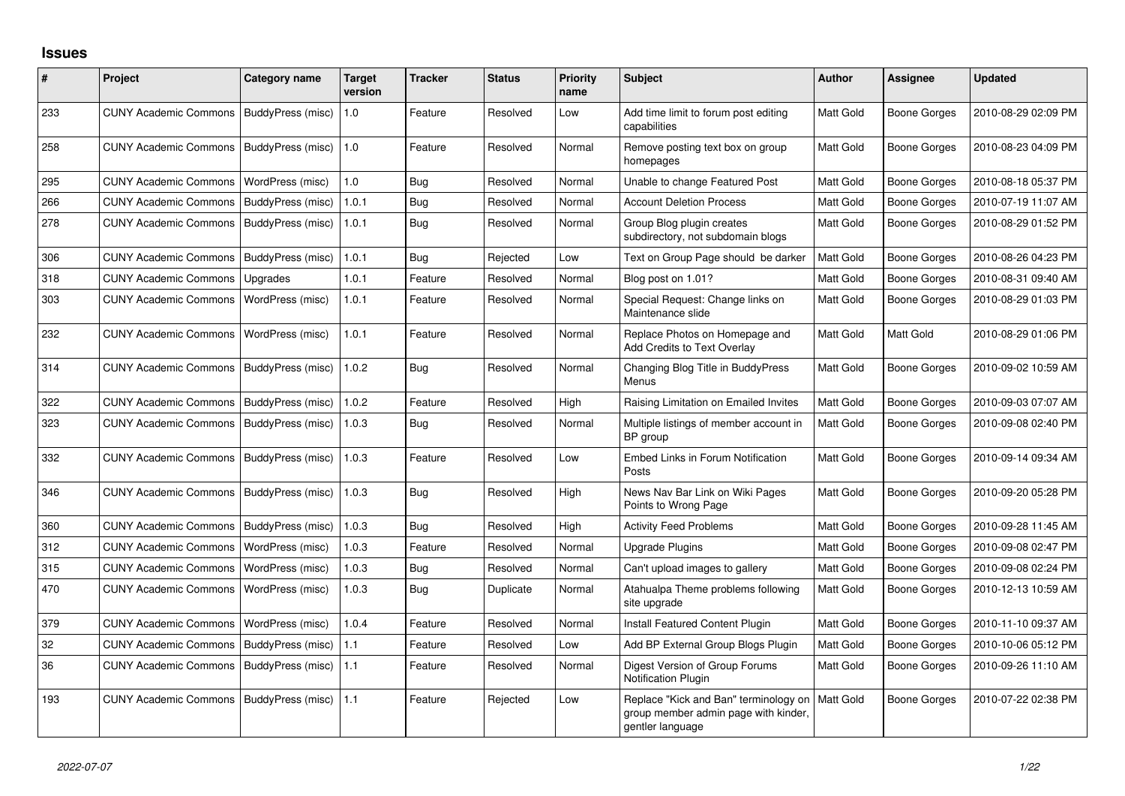## **Issues**

| #   | Project                      | Category name     | Target<br>version | <b>Tracker</b> | <b>Status</b> | <b>Priority</b><br>name | <b>Subject</b>                                                                                    | <b>Author</b> | <b>Assignee</b>     | <b>Updated</b>      |
|-----|------------------------------|-------------------|-------------------|----------------|---------------|-------------------------|---------------------------------------------------------------------------------------------------|---------------|---------------------|---------------------|
| 233 | <b>CUNY Academic Commons</b> | BuddyPress (misc) | 1.0               | Feature        | Resolved      | Low                     | Add time limit to forum post editing<br>capabilities                                              | Matt Gold     | <b>Boone Gorges</b> | 2010-08-29 02:09 PM |
| 258 | <b>CUNY Academic Commons</b> | BuddyPress (misc) | 1.0               | Feature        | Resolved      | Normal                  | Remove posting text box on group<br>homepages                                                     | Matt Gold     | <b>Boone Gorges</b> | 2010-08-23 04:09 PM |
| 295 | <b>CUNY Academic Commons</b> | WordPress (misc)  | 1.0               | <b>Bug</b>     | Resolved      | Normal                  | Unable to change Featured Post                                                                    | Matt Gold     | <b>Boone Gorges</b> | 2010-08-18 05:37 PM |
| 266 | <b>CUNY Academic Commons</b> | BuddyPress (misc) | 1.0.1             | Bug            | Resolved      | Normal                  | <b>Account Deletion Process</b>                                                                   | Matt Gold     | Boone Gorges        | 2010-07-19 11:07 AM |
| 278 | <b>CUNY Academic Commons</b> | BuddyPress (misc) | 1.0.1             | Bug            | Resolved      | Normal                  | Group Blog plugin creates<br>subdirectory, not subdomain blogs                                    | Matt Gold     | <b>Boone Gorges</b> | 2010-08-29 01:52 PM |
| 306 | <b>CUNY Academic Commons</b> | BuddyPress (misc) | 1.0.1             | Bug            | Rejected      | Low                     | Text on Group Page should be darker                                                               | Matt Gold     | <b>Boone Gorges</b> | 2010-08-26 04:23 PM |
| 318 | <b>CUNY Academic Commons</b> | Upgrades          | 1.0.1             | Feature        | Resolved      | Normal                  | Blog post on 1.01?                                                                                | Matt Gold     | Boone Gorges        | 2010-08-31 09:40 AM |
| 303 | <b>CUNY Academic Commons</b> | WordPress (misc)  | 1.0.1             | Feature        | Resolved      | Normal                  | Special Request: Change links on<br>Maintenance slide                                             | Matt Gold     | Boone Gorges        | 2010-08-29 01:03 PM |
| 232 | <b>CUNY Academic Commons</b> | WordPress (misc)  | 1.0.1             | Feature        | Resolved      | Normal                  | Replace Photos on Homepage and<br>Add Credits to Text Overlay                                     | Matt Gold     | Matt Gold           | 2010-08-29 01:06 PM |
| 314 | <b>CUNY Academic Commons</b> | BuddyPress (misc) | 1.0.2             | Bug            | Resolved      | Normal                  | Changing Blog Title in BuddyPress<br>Menus                                                        | Matt Gold     | <b>Boone Gorges</b> | 2010-09-02 10:59 AM |
| 322 | <b>CUNY Academic Commons</b> | BuddyPress (misc) | 1.0.2             | Feature        | Resolved      | High                    | Raising Limitation on Emailed Invites                                                             | Matt Gold     | <b>Boone Gorges</b> | 2010-09-03 07:07 AM |
| 323 | <b>CUNY Academic Commons</b> | BuddyPress (misc) | 1.0.3             | Bug            | Resolved      | Normal                  | Multiple listings of member account in<br>BP group                                                | Matt Gold     | <b>Boone Gorges</b> | 2010-09-08 02:40 PM |
| 332 | <b>CUNY Academic Commons</b> | BuddyPress (misc) | 1.0.3             | Feature        | Resolved      | Low                     | Embed Links in Forum Notification<br>Posts                                                        | Matt Gold     | <b>Boone Gorges</b> | 2010-09-14 09:34 AM |
| 346 | <b>CUNY Academic Commons</b> | BuddyPress (misc) | 1.0.3             | Bug            | Resolved      | High                    | News Nav Bar Link on Wiki Pages<br>Points to Wrong Page                                           | Matt Gold     | <b>Boone Gorges</b> | 2010-09-20 05:28 PM |
| 360 | <b>CUNY Academic Commons</b> | BuddyPress (misc) | 1.0.3             | Bug            | Resolved      | High                    | <b>Activity Feed Problems</b>                                                                     | Matt Gold     | <b>Boone Gorges</b> | 2010-09-28 11:45 AM |
| 312 | <b>CUNY Academic Commons</b> | WordPress (misc)  | 1.0.3             | Feature        | Resolved      | Normal                  | <b>Upgrade Plugins</b>                                                                            | Matt Gold     | <b>Boone Gorges</b> | 2010-09-08 02:47 PM |
| 315 | <b>CUNY Academic Commons</b> | WordPress (misc)  | 1.0.3             | Bug            | Resolved      | Normal                  | Can't upload images to gallery                                                                    | Matt Gold     | <b>Boone Gorges</b> | 2010-09-08 02:24 PM |
| 470 | <b>CUNY Academic Commons</b> | WordPress (misc)  | 1.0.3             | <b>Bug</b>     | Duplicate     | Normal                  | Atahualpa Theme problems following<br>site upgrade                                                | Matt Gold     | Boone Gorges        | 2010-12-13 10:59 AM |
| 379 | <b>CUNY Academic Commons</b> | WordPress (misc)  | 1.0.4             | Feature        | Resolved      | Normal                  | <b>Install Featured Content Plugin</b>                                                            | Matt Gold     | <b>Boone Gorges</b> | 2010-11-10 09:37 AM |
| 32  | <b>CUNY Academic Commons</b> | BuddyPress (misc) | 1.1               | Feature        | Resolved      | Low                     | Add BP External Group Blogs Plugin                                                                | Matt Gold     | <b>Boone Gorges</b> | 2010-10-06 05:12 PM |
| 36  | <b>CUNY Academic Commons</b> | BuddyPress (misc) | 1.1               | Feature        | Resolved      | Normal                  | Digest Version of Group Forums<br><b>Notification Plugin</b>                                      | Matt Gold     | <b>Boone Gorges</b> | 2010-09-26 11:10 AM |
| 193 | <b>CUNY Academic Commons</b> | BuddyPress (misc) | 1.1               | Feature        | Rejected      | Low                     | Replace "Kick and Ban" terminology on<br>group member admin page with kinder,<br>gentler language | Matt Gold     | <b>Boone Gorges</b> | 2010-07-22 02:38 PM |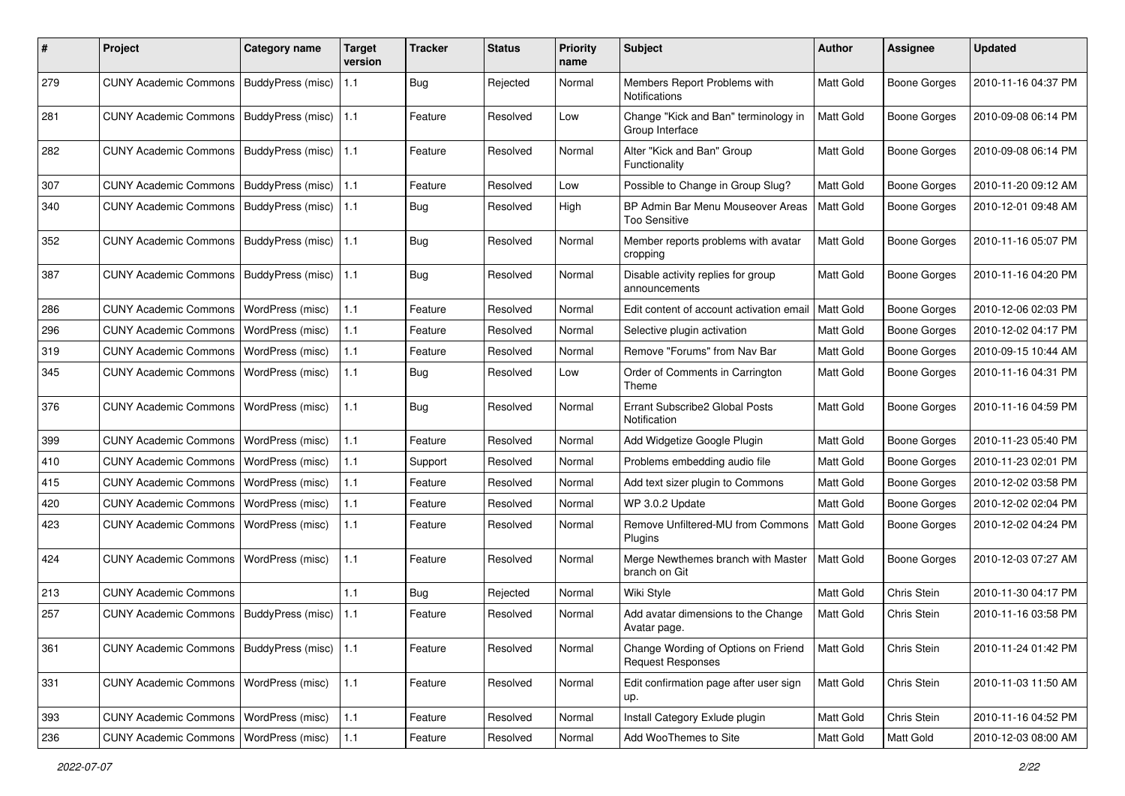| #   | Project                                  | <b>Category name</b>     | <b>Target</b><br>version | <b>Tracker</b> | <b>Status</b> | <b>Priority</b><br>name | <b>Subject</b>                                                  | <b>Author</b>    | Assignee            | <b>Updated</b>      |
|-----|------------------------------------------|--------------------------|--------------------------|----------------|---------------|-------------------------|-----------------------------------------------------------------|------------------|---------------------|---------------------|
| 279 | <b>CUNY Academic Commons</b>             | BuddyPress (misc)        | 1.1                      | <b>Bug</b>     | Rejected      | Normal                  | Members Report Problems with<br>Notifications                   | Matt Gold        | <b>Boone Gorges</b> | 2010-11-16 04:37 PM |
| 281 | <b>CUNY Academic Commons</b>             | BuddyPress (misc)        | 1.1                      | Feature        | Resolved      | Low                     | Change "Kick and Ban" terminology in<br>Group Interface         | Matt Gold        | <b>Boone Gorges</b> | 2010-09-08 06:14 PM |
| 282 | <b>CUNY Academic Commons</b>             | BuddyPress (misc)   1.1  |                          | Feature        | Resolved      | Normal                  | Alter "Kick and Ban" Group<br>Functionality                     | Matt Gold        | <b>Boone Gorges</b> | 2010-09-08 06:14 PM |
| 307 | <b>CUNY Academic Commons</b>             | <b>BuddyPress (misc)</b> | 1.1                      | Feature        | Resolved      | Low                     | Possible to Change in Group Slug?                               | Matt Gold        | <b>Boone Gorges</b> | 2010-11-20 09:12 AM |
| 340 | <b>CUNY Academic Commons</b>             | BuddyPress (misc)   1.1  |                          | Bug            | Resolved      | High                    | BP Admin Bar Menu Mouseover Areas<br><b>Too Sensitive</b>       | Matt Gold        | <b>Boone Gorges</b> | 2010-12-01 09:48 AM |
| 352 | <b>CUNY Academic Commons</b>             | BuddyPress (misc)        | 1.1                      | <b>Bug</b>     | Resolved      | Normal                  | Member reports problems with avatar<br>cropping                 | Matt Gold        | <b>Boone Gorges</b> | 2010-11-16 05:07 PM |
| 387 | <b>CUNY Academic Commons</b>             | <b>BuddyPress (misc)</b> | 1.1                      | Bug            | Resolved      | Normal                  | Disable activity replies for group<br>announcements             | Matt Gold        | <b>Boone Gorges</b> | 2010-11-16 04:20 PM |
| 286 | <b>CUNY Academic Commons</b>             | WordPress (misc)         | 1.1                      | Feature        | Resolved      | Normal                  | Edit content of account activation email                        | Matt Gold        | <b>Boone Gorges</b> | 2010-12-06 02:03 PM |
| 296 | <b>CUNY Academic Commons</b>             | WordPress (misc)         | 1.1                      | Feature        | Resolved      | Normal                  | Selective plugin activation                                     | Matt Gold        | <b>Boone Gorges</b> | 2010-12-02 04:17 PM |
| 319 | <b>CUNY Academic Commons</b>             | WordPress (misc)         | $1.1$                    | Feature        | Resolved      | Normal                  | Remove "Forums" from Nav Bar                                    | Matt Gold        | <b>Boone Gorges</b> | 2010-09-15 10:44 AM |
| 345 | <b>CUNY Academic Commons</b>             | <b>WordPress (misc)</b>  | 1.1                      | Bug            | Resolved      | Low                     | Order of Comments in Carrington<br>Theme                        | Matt Gold        | <b>Boone Gorges</b> | 2010-11-16 04:31 PM |
| 376 | <b>CUNY Academic Commons</b>             | WordPress (misc)         | 1.1                      | Bug            | Resolved      | Normal                  | Errant Subscribe2 Global Posts<br>Notification                  | Matt Gold        | <b>Boone Gorges</b> | 2010-11-16 04:59 PM |
| 399 | <b>CUNY Academic Commons</b>             | WordPress (misc)         | 1.1                      | Feature        | Resolved      | Normal                  | Add Widgetize Google Plugin                                     | Matt Gold        | <b>Boone Gorges</b> | 2010-11-23 05:40 PM |
| 410 | <b>CUNY Academic Commons</b>             | WordPress (misc)         | 1.1                      | Support        | Resolved      | Normal                  | Problems embedding audio file                                   | Matt Gold        | <b>Boone Gorges</b> | 2010-11-23 02:01 PM |
| 415 | <b>CUNY Academic Commons</b>             | WordPress (misc)         | 1.1                      | Feature        | Resolved      | Normal                  | Add text sizer plugin to Commons                                | Matt Gold        | <b>Boone Gorges</b> | 2010-12-02 03:58 PM |
| 420 | <b>CUNY Academic Commons</b>             | WordPress (misc)         | 1.1                      | Feature        | Resolved      | Normal                  | WP 3.0.2 Update                                                 | Matt Gold        | <b>Boone Gorges</b> | 2010-12-02 02:04 PM |
| 423 | <b>CUNY Academic Commons</b>             | <b>WordPress (misc)</b>  | 1.1                      | Feature        | Resolved      | Normal                  | Remove Unfiltered-MU from Commons<br>Plugins                    | <b>Matt Gold</b> | <b>Boone Gorges</b> | 2010-12-02 04:24 PM |
| 424 | <b>CUNY Academic Commons</b>             | <b>WordPress (misc)</b>  | 1.1                      | Feature        | Resolved      | Normal                  | Merge Newthemes branch with Master<br>branch on Git             | Matt Gold        | <b>Boone Gorges</b> | 2010-12-03 07:27 AM |
| 213 | <b>CUNY Academic Commons</b>             |                          | 1.1                      | Bug            | Rejected      | Normal                  | Wiki Style                                                      | Matt Gold        | Chris Stein         | 2010-11-30 04:17 PM |
| 257 | <b>CUNY Academic Commons</b>             | BuddyPress (misc)        | 1.1                      | Feature        | Resolved      | Normal                  | Add avatar dimensions to the Change<br>Avatar page.             | Matt Gold        | Chris Stein         | 2010-11-16 03:58 PM |
| 361 | <b>CUNY Academic Commons</b>             | BuddyPress (misc)   1.1  |                          | Feature        | Resolved      | Normal                  | Change Wording of Options on Friend<br><b>Request Responses</b> | Matt Gold        | Chris Stein         | 2010-11-24 01:42 PM |
| 331 | <b>CUNY Academic Commons</b>             | WordPress (misc)         | 1.1                      | Feature        | Resolved      | Normal                  | Edit confirmation page after user sign<br>up.                   | Matt Gold        | Chris Stein         | 2010-11-03 11:50 AM |
| 393 | <b>CUNY Academic Commons</b>             | WordPress (misc)         | $1.1$                    | Feature        | Resolved      | Normal                  | Install Category Exlude plugin                                  | Matt Gold        | Chris Stein         | 2010-11-16 04:52 PM |
| 236 | CUNY Academic Commons   WordPress (misc) |                          | 1.1                      | Feature        | Resolved      | Normal                  | Add WooThemes to Site                                           | Matt Gold        | Matt Gold           | 2010-12-03 08:00 AM |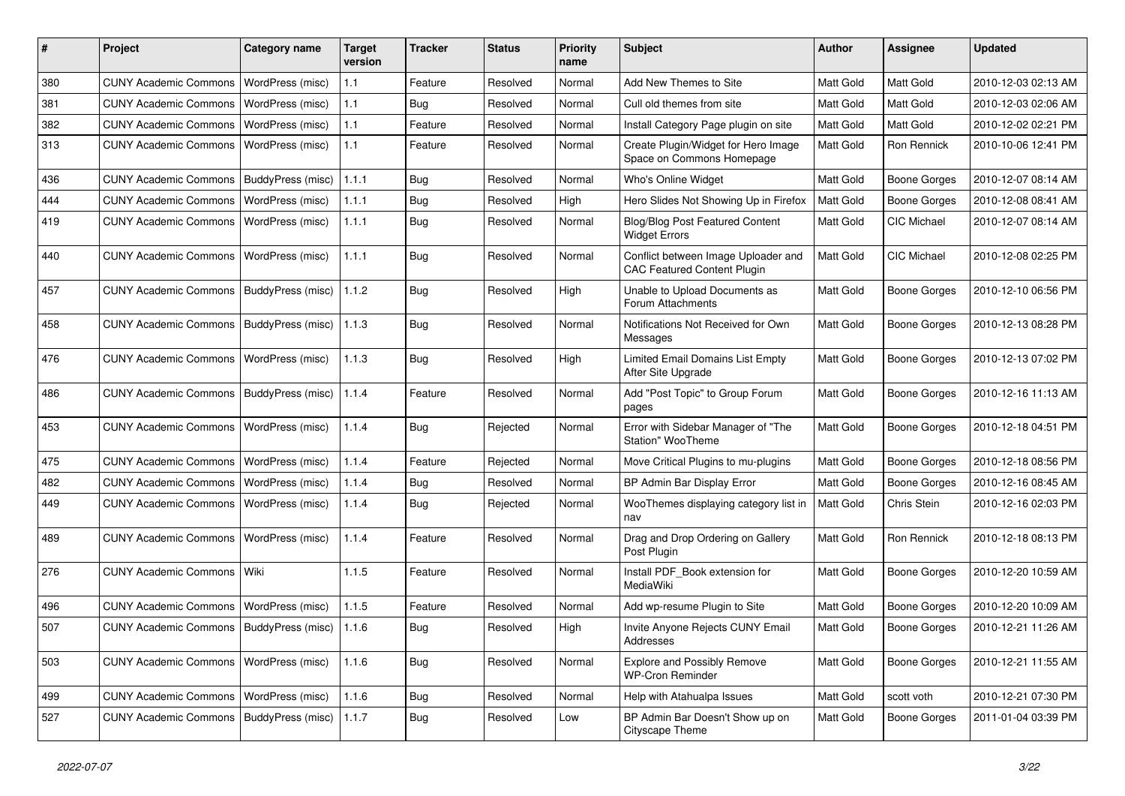| #   | Project                                   | <b>Category name</b>     | Target<br>version | <b>Tracker</b> | <b>Status</b> | <b>Priority</b><br>name | <b>Subject</b>                                                            | Author    | <b>Assignee</b>     | <b>Updated</b>      |
|-----|-------------------------------------------|--------------------------|-------------------|----------------|---------------|-------------------------|---------------------------------------------------------------------------|-----------|---------------------|---------------------|
| 380 | <b>CUNY Academic Commons</b>              | WordPress (misc)         | 1.1               | Feature        | Resolved      | Normal                  | Add New Themes to Site                                                    | Matt Gold | Matt Gold           | 2010-12-03 02:13 AM |
| 381 | <b>CUNY Academic Commons</b>              | WordPress (misc)         | 1.1               | Bug            | Resolved      | Normal                  | Cull old themes from site                                                 | Matt Gold | Matt Gold           | 2010-12-03 02:06 AM |
| 382 | <b>CUNY Academic Commons</b>              | <b>WordPress (misc)</b>  | 1.1               | Feature        | Resolved      | Normal                  | Install Category Page plugin on site                                      | Matt Gold | Matt Gold           | 2010-12-02 02:21 PM |
| 313 | <b>CUNY Academic Commons</b>              | WordPress (misc)         | 1.1               | Feature        | Resolved      | Normal                  | Create Plugin/Widget for Hero Image<br>Space on Commons Homepage          | Matt Gold | Ron Rennick         | 2010-10-06 12:41 PM |
| 436 | <b>CUNY Academic Commons</b>              | BuddyPress (misc)        | 1.1.1             | Bug            | Resolved      | Normal                  | Who's Online Widget                                                       | Matt Gold | <b>Boone Gorges</b> | 2010-12-07 08:14 AM |
| 444 | <b>CUNY Academic Commons</b>              | WordPress (misc)         | 1.1.1             | Bug            | Resolved      | High                    | Hero Slides Not Showing Up in Firefox                                     | Matt Gold | <b>Boone Gorges</b> | 2010-12-08 08:41 AM |
| 419 | <b>CUNY Academic Commons</b>              | WordPress (misc)         | 1.1.1             | Bug            | Resolved      | Normal                  | Blog/Blog Post Featured Content<br><b>Widget Errors</b>                   | Matt Gold | CIC Michael         | 2010-12-07 08:14 AM |
| 440 | <b>CUNY Academic Commons</b>              | WordPress (misc)         | 1.1.1             | Bug            | Resolved      | Normal                  | Conflict between Image Uploader and<br><b>CAC Featured Content Plugin</b> | Matt Gold | CIC Michael         | 2010-12-08 02:25 PM |
| 457 | <b>CUNY Academic Commons</b>              | <b>BuddyPress (misc)</b> | 1.1.2             | <b>Bug</b>     | Resolved      | High                    | Unable to Upload Documents as<br>Forum Attachments                        | Matt Gold | Boone Gorges        | 2010-12-10 06:56 PM |
| 458 | <b>CUNY Academic Commons</b>              | BuddyPress (misc)        | 1.1.3             | Bug            | Resolved      | Normal                  | Notifications Not Received for Own<br>Messages                            | Matt Gold | Boone Gorges        | 2010-12-13 08:28 PM |
| 476 | <b>CUNY Academic Commons</b>              | WordPress (misc)         | 1.1.3             | Bug            | Resolved      | High                    | Limited Email Domains List Empty<br>After Site Upgrade                    | Matt Gold | Boone Gorges        | 2010-12-13 07:02 PM |
| 486 | <b>CUNY Academic Commons</b>              | BuddyPress (misc)        | 1.1.4             | Feature        | Resolved      | Normal                  | Add "Post Topic" to Group Forum<br>pages                                  | Matt Gold | <b>Boone Gorges</b> | 2010-12-16 11:13 AM |
| 453 | <b>CUNY Academic Commons</b>              | WordPress (misc)         | 1.1.4             | <b>Bug</b>     | Rejected      | Normal                  | Error with Sidebar Manager of "The<br>Station" WooTheme                   | Matt Gold | <b>Boone Gorges</b> | 2010-12-18 04:51 PM |
| 475 | <b>CUNY Academic Commons</b>              | WordPress (misc)         | 1.1.4             | Feature        | Rejected      | Normal                  | Move Critical Plugins to mu-plugins                                       | Matt Gold | Boone Gorges        | 2010-12-18 08:56 PM |
| 482 | <b>CUNY Academic Commons</b>              | WordPress (misc)         | 1.1.4             | <b>Bug</b>     | Resolved      | Normal                  | BP Admin Bar Display Error                                                | Matt Gold | Boone Gorges        | 2010-12-16 08:45 AM |
| 449 | <b>CUNY Academic Commons</b>              | WordPress (misc)         | 1.1.4             | Bug            | Rejected      | Normal                  | WooThemes displaying category list in<br>nav                              | Matt Gold | Chris Stein         | 2010-12-16 02:03 PM |
| 489 | <b>CUNY Academic Commons</b>              | WordPress (misc)         | 1.1.4             | Feature        | Resolved      | Normal                  | Drag and Drop Ordering on Gallery<br>Post Plugin                          | Matt Gold | Ron Rennick         | 2010-12-18 08:13 PM |
| 276 | <b>CUNY Academic Commons</b>              | Wiki                     | 1.1.5             | Feature        | Resolved      | Normal                  | Install PDF Book extension for<br>MediaWiki                               | Matt Gold | Boone Gorges        | 2010-12-20 10:59 AM |
| 496 | <b>CUNY Academic Commons</b>              | WordPress (misc)         | 1.1.5             | Feature        | Resolved      | Normal                  | Add wp-resume Plugin to Site                                              | Matt Gold | Boone Gorges        | 2010-12-20 10:09 AM |
| 507 | CUNY Academic Commons   BuddyPress (misc) |                          | 1.1.6             | Bug            | Resolved      | High                    | Invite Anyone Rejects CUNY Email<br>Addresses                             | Matt Gold | <b>Boone Gorges</b> | 2010-12-21 11:26 AM |
| 503 | <b>CUNY Academic Commons</b>              | WordPress (misc)         | 1.1.6             | Bug            | Resolved      | Normal                  | <b>Explore and Possibly Remove</b><br><b>WP-Cron Reminder</b>             | Matt Gold | <b>Boone Gorges</b> | 2010-12-21 11:55 AM |
| 499 | <b>CUNY Academic Commons</b>              | WordPress (misc)         | 1.1.6             | <b>Bug</b>     | Resolved      | Normal                  | Help with Atahualpa Issues                                                | Matt Gold | scott voth          | 2010-12-21 07:30 PM |
| 527 | CUNY Academic Commons   BuddyPress (misc) |                          | 1.1.7             | <b>Bug</b>     | Resolved      | Low                     | BP Admin Bar Doesn't Show up on<br>Cityscape Theme                        | Matt Gold | <b>Boone Gorges</b> | 2011-01-04 03:39 PM |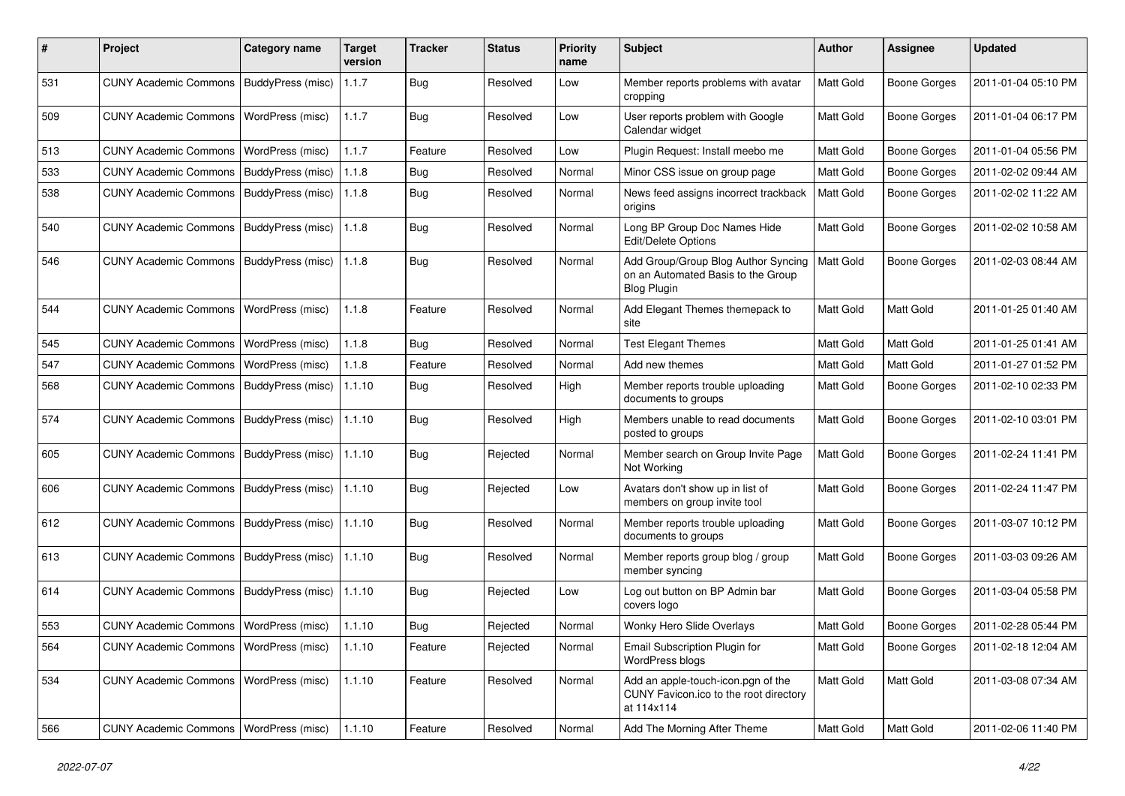| #   | Project                                  | <b>Category name</b>     | <b>Target</b><br>version | <b>Tracker</b> | <b>Status</b> | <b>Priority</b><br>name | <b>Subject</b>                                                                                  | <b>Author</b> | <b>Assignee</b>     | <b>Updated</b>      |
|-----|------------------------------------------|--------------------------|--------------------------|----------------|---------------|-------------------------|-------------------------------------------------------------------------------------------------|---------------|---------------------|---------------------|
| 531 | <b>CUNY Academic Commons</b>             | BuddyPress (misc)        | 1.1.7                    | <b>Bug</b>     | Resolved      | Low                     | Member reports problems with avatar<br>cropping                                                 | Matt Gold     | <b>Boone Gorges</b> | 2011-01-04 05:10 PM |
| 509 | <b>CUNY Academic Commons</b>             | WordPress (misc)         | 1.1.7                    | <b>Bug</b>     | Resolved      | Low                     | User reports problem with Google<br>Calendar widget                                             | Matt Gold     | Boone Gorges        | 2011-01-04 06:17 PM |
| 513 | <b>CUNY Academic Commons</b>             | WordPress (misc)         | 1.1.7                    | Feature        | Resolved      | Low                     | Plugin Request: Install meebo me                                                                | Matt Gold     | <b>Boone Gorges</b> | 2011-01-04 05:56 PM |
| 533 | <b>CUNY Academic Commons</b>             | BuddyPress (misc)        | 1.1.8                    | Bug            | Resolved      | Normal                  | Minor CSS issue on group page                                                                   | Matt Gold     | <b>Boone Gorges</b> | 2011-02-02 09:44 AM |
| 538 | <b>CUNY Academic Commons</b>             | BuddyPress (misc)        | 1.1.8                    | Bug            | Resolved      | Normal                  | News feed assigns incorrect trackback<br>origins                                                | Matt Gold     | <b>Boone Gorges</b> | 2011-02-02 11:22 AM |
| 540 | <b>CUNY Academic Commons</b>             | BuddyPress (misc)        | 1.1.8                    | Bug            | Resolved      | Normal                  | Long BP Group Doc Names Hide<br><b>Edit/Delete Options</b>                                      | Matt Gold     | <b>Boone Gorges</b> | 2011-02-02 10:58 AM |
| 546 | <b>CUNY Academic Commons</b>             | BuddyPress (misc)        | 1.1.8                    | Bug            | Resolved      | Normal                  | Add Group/Group Blog Author Syncing<br>on an Automated Basis to the Group<br><b>Blog Plugin</b> | Matt Gold     | <b>Boone Gorges</b> | 2011-02-03 08:44 AM |
| 544 | <b>CUNY Academic Commons</b>             | WordPress (misc)         | 1.1.8                    | Feature        | Resolved      | Normal                  | Add Elegant Themes themepack to<br>site                                                         | Matt Gold     | <b>Matt Gold</b>    | 2011-01-25 01:40 AM |
| 545 | <b>CUNY Academic Commons</b>             | WordPress (misc)         | 1.1.8                    | Bug            | Resolved      | Normal                  | <b>Test Elegant Themes</b>                                                                      | Matt Gold     | Matt Gold           | 2011-01-25 01:41 AM |
| 547 | <b>CUNY Academic Commons</b>             | WordPress (misc)         | 1.1.8                    | Feature        | Resolved      | Normal                  | Add new themes                                                                                  | Matt Gold     | Matt Gold           | 2011-01-27 01:52 PM |
| 568 | <b>CUNY Academic Commons</b>             | BuddyPress (misc)        | 1.1.10                   | <b>Bug</b>     | Resolved      | High                    | Member reports trouble uploading<br>documents to groups                                         | Matt Gold     | <b>Boone Gorges</b> | 2011-02-10 02:33 PM |
| 574 | <b>CUNY Academic Commons</b>             | BuddyPress (misc)        | 1.1.10                   | Bug            | Resolved      | High                    | Members unable to read documents<br>posted to groups                                            | Matt Gold     | <b>Boone Gorges</b> | 2011-02-10 03:01 PM |
| 605 | <b>CUNY Academic Commons</b>             | <b>BuddyPress (misc)</b> | 1.1.10                   | Bug            | Rejected      | Normal                  | Member search on Group Invite Page<br>Not Working                                               | Matt Gold     | <b>Boone Gorges</b> | 2011-02-24 11:41 PM |
| 606 | <b>CUNY Academic Commons</b>             | BuddyPress (misc)        | 1.1.10                   | Bug            | Rejected      | Low                     | Avatars don't show up in list of<br>members on group invite tool                                | Matt Gold     | <b>Boone Gorges</b> | 2011-02-24 11:47 PM |
| 612 | <b>CUNY Academic Commons</b>             | BuddyPress (misc)        | 1.1.10                   | Bug            | Resolved      | Normal                  | Member reports trouble uploading<br>documents to groups                                         | Matt Gold     | <b>Boone Gorges</b> | 2011-03-07 10:12 PM |
| 613 | <b>CUNY Academic Commons</b>             | BuddyPress (misc)        | 1.1.10                   | Bug            | Resolved      | Normal                  | Member reports group blog / group<br>member syncing                                             | Matt Gold     | <b>Boone Gorges</b> | 2011-03-03 09:26 AM |
| 614 | <b>CUNY Academic Commons</b>             | BuddyPress (misc)        | 1.1.10                   | Bug            | Rejected      | Low                     | Log out button on BP Admin bar<br>covers logo                                                   | Matt Gold     | Boone Gorges        | 2011-03-04 05:58 PM |
| 553 | CUNY Academic Commons   WordPress (misc) |                          | 1.1.10                   | Bug            | Rejected      | Normal                  | Wonky Hero Slide Overlays                                                                       | Matt Gold     | <b>Boone Gorges</b> | 2011-02-28 05:44 PM |
| 564 | CUNY Academic Commons   WordPress (misc) |                          | 1.1.10                   | Feature        | Rejected      | Normal                  | Email Subscription Plugin for<br>WordPress blogs                                                | Matt Gold     | Boone Gorges        | 2011-02-18 12:04 AM |
| 534 | <b>CUNY Academic Commons</b>             | WordPress (misc)         | 1.1.10                   | Feature        | Resolved      | Normal                  | Add an apple-touch-icon.pgn of the<br>CUNY Favicon.ico to the root directory<br>at 114x114      | Matt Gold     | Matt Gold           | 2011-03-08 07:34 AM |
| 566 | CUNY Academic Commons   WordPress (misc) |                          | 1.1.10                   | Feature        | Resolved      | Normal                  | Add The Morning After Theme                                                                     | Matt Gold     | Matt Gold           | 2011-02-06 11:40 PM |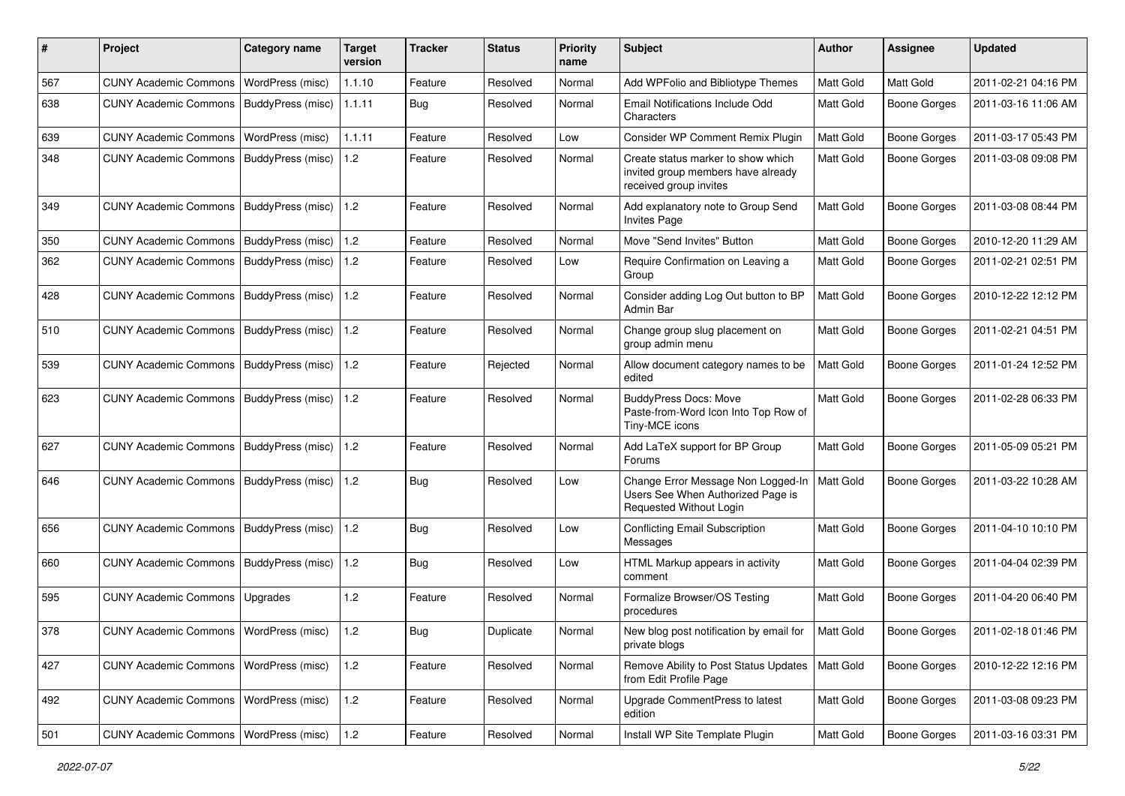| #   | Project                                  | <b>Category name</b>     | Target<br>version | <b>Tracker</b> | <b>Status</b> | <b>Priority</b><br>name | Subject                                                                                            | Author           | Assignee            | <b>Updated</b>      |
|-----|------------------------------------------|--------------------------|-------------------|----------------|---------------|-------------------------|----------------------------------------------------------------------------------------------------|------------------|---------------------|---------------------|
| 567 | <b>CUNY Academic Commons</b>             | WordPress (misc)         | 1.1.10            | Feature        | Resolved      | Normal                  | Add WPFolio and Bibliotype Themes                                                                  | Matt Gold        | Matt Gold           | 2011-02-21 04:16 PM |
| 638 | <b>CUNY Academic Commons</b>             | BuddyPress (misc)        | 1.1.11            | Bug            | Resolved      | Normal                  | <b>Email Notifications Include Odd</b><br>Characters                                               | Matt Gold        | <b>Boone Gorges</b> | 2011-03-16 11:06 AM |
| 639 | <b>CUNY Academic Commons</b>             | WordPress (misc)         | 1.1.11            | Feature        | Resolved      | Low                     | Consider WP Comment Remix Plugin                                                                   | Matt Gold        | Boone Gorges        | 2011-03-17 05:43 PM |
| 348 | <b>CUNY Academic Commons</b>             | BuddyPress (misc)        | 1.2               | Feature        | Resolved      | Normal                  | Create status marker to show which<br>invited group members have already<br>received group invites | <b>Matt Gold</b> | Boone Gorges        | 2011-03-08 09:08 PM |
| 349 | <b>CUNY Academic Commons</b>             | BuddyPress (misc)        | 1.2               | Feature        | Resolved      | Normal                  | Add explanatory note to Group Send<br><b>Invites Page</b>                                          | Matt Gold        | Boone Gorges        | 2011-03-08 08:44 PM |
| 350 | <b>CUNY Academic Commons</b>             | BuddyPress (misc)        | 1.2               | Feature        | Resolved      | Normal                  | Move "Send Invites" Button                                                                         | Matt Gold        | Boone Gorges        | 2010-12-20 11:29 AM |
| 362 | <b>CUNY Academic Commons</b>             | BuddyPress (misc)        | 1.2               | Feature        | Resolved      | Low                     | Require Confirmation on Leaving a<br>Group                                                         | Matt Gold        | Boone Gorges        | 2011-02-21 02:51 PM |
| 428 | <b>CUNY Academic Commons</b>             | BuddyPress (misc)        | 1.2               | Feature        | Resolved      | Normal                  | Consider adding Log Out button to BP<br>Admin Bar                                                  | Matt Gold        | <b>Boone Gorges</b> | 2010-12-22 12:12 PM |
| 510 | <b>CUNY Academic Commons</b>             | BuddyPress (misc)        | 1.2               | Feature        | Resolved      | Normal                  | Change group slug placement on<br>group admin menu                                                 | Matt Gold        | <b>Boone Gorges</b> | 2011-02-21 04:51 PM |
| 539 | <b>CUNY Academic Commons</b>             | BuddyPress (misc)        | 1.2               | Feature        | Rejected      | Normal                  | Allow document category names to be<br>edited                                                      | Matt Gold        | Boone Gorges        | 2011-01-24 12:52 PM |
| 623 | <b>CUNY Academic Commons</b>             | <b>BuddyPress (misc)</b> | 1.2               | Feature        | Resolved      | Normal                  | <b>BuddyPress Docs: Move</b><br>Paste-from-Word Icon Into Top Row of<br>Tiny-MCE icons             | Matt Gold        | <b>Boone Gorges</b> | 2011-02-28 06:33 PM |
| 627 | <b>CUNY Academic Commons</b>             | <b>BuddyPress (misc)</b> | 1.2               | Feature        | Resolved      | Normal                  | Add LaTeX support for BP Group<br>Forums                                                           | Matt Gold        | Boone Gorges        | 2011-05-09 05:21 PM |
| 646 | <b>CUNY Academic Commons</b>             | BuddyPress (misc)        | 1.2               | Bug            | Resolved      | Low                     | Change Error Message Non Logged-In<br>Users See When Authorized Page is<br>Requested Without Login | Matt Gold        | Boone Gorges        | 2011-03-22 10:28 AM |
| 656 | <b>CUNY Academic Commons</b>             | BuddyPress (misc)        | 1.2               | Bug            | Resolved      | Low                     | <b>Conflicting Email Subscription</b><br>Messages                                                  | Matt Gold        | Boone Gorges        | 2011-04-10 10:10 PM |
| 660 | <b>CUNY Academic Commons</b>             | BuddyPress (misc)        | 1.2               | Bug            | Resolved      | Low                     | HTML Markup appears in activity<br>comment                                                         | Matt Gold        | Boone Gorges        | 2011-04-04 02:39 PM |
| 595 | <b>CUNY Academic Commons</b>             | Upgrades                 | 1.2               | Feature        | Resolved      | Normal                  | Formalize Browser/OS Testing<br>procedures                                                         | <b>Matt Gold</b> | Boone Gorges        | 2011-04-20 06:40 PM |
| 378 | CUNY Academic Commons   WordPress (misc) |                          | 1.2               | Bug            | Duplicate     | Normal                  | New blog post notification by email for<br>private blogs                                           | <b>Matt Gold</b> | Boone Gorges        | 2011-02-18 01:46 PM |
| 427 | <b>CUNY Academic Commons</b>             | WordPress (misc)         | $1.2$             | Feature        | Resolved      | Normal                  | Remove Ability to Post Status Updates<br>from Edit Profile Page                                    | Matt Gold        | Boone Gorges        | 2010-12-22 12:16 PM |
| 492 | <b>CUNY Academic Commons</b>             | <b>WordPress (misc)</b>  | $1.2$             | Feature        | Resolved      | Normal                  | Upgrade CommentPress to latest<br>edition                                                          | Matt Gold        | Boone Gorges        | 2011-03-08 09:23 PM |
| 501 | <b>CUNY Academic Commons</b>             | WordPress (misc)         | $1.2$             | Feature        | Resolved      | Normal                  | Install WP Site Template Plugin                                                                    | Matt Gold        | Boone Gorges        | 2011-03-16 03:31 PM |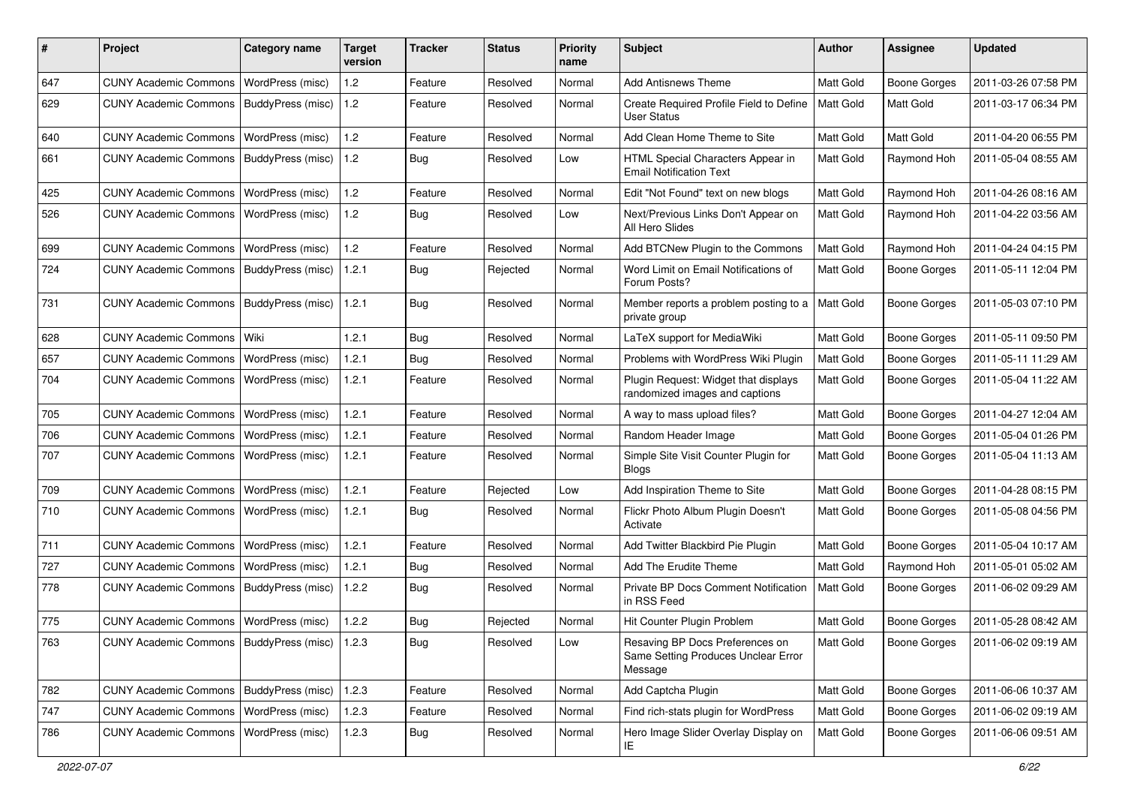| #   | Project                                           | <b>Category name</b>    | Target<br>version | Tracker    | <b>Status</b> | <b>Priority</b><br>name | <b>Subject</b>                                                                    | <b>Author</b>    | Assignee            | <b>Updated</b>      |
|-----|---------------------------------------------------|-------------------------|-------------------|------------|---------------|-------------------------|-----------------------------------------------------------------------------------|------------------|---------------------|---------------------|
| 647 | <b>CUNY Academic Commons</b>                      | WordPress (misc)        | 1.2               | Feature    | Resolved      | Normal                  | <b>Add Antisnews Theme</b>                                                        | <b>Matt Gold</b> | Boone Gorges        | 2011-03-26 07:58 PM |
| 629 | <b>CUNY Academic Commons</b>                      | BuddyPress (misc)       | 1.2               | Feature    | Resolved      | Normal                  | Create Required Profile Field to Define<br><b>User Status</b>                     | <b>Matt Gold</b> | Matt Gold           | 2011-03-17 06:34 PM |
| 640 | <b>CUNY Academic Commons</b>                      | WordPress (misc)        | 1.2               | Feature    | Resolved      | Normal                  | Add Clean Home Theme to Site                                                      | Matt Gold        | Matt Gold           | 2011-04-20 06:55 PM |
| 661 | <b>CUNY Academic Commons</b>                      | BuddyPress (misc)       | 1.2               | Bug        | Resolved      | Low                     | HTML Special Characters Appear in<br><b>Email Notification Text</b>               | Matt Gold        | Raymond Hoh         | 2011-05-04 08:55 AM |
| 425 | <b>CUNY Academic Commons</b>                      | WordPress (misc)        | 1.2               | Feature    | Resolved      | Normal                  | Edit "Not Found" text on new blogs                                                | Matt Gold        | Raymond Hoh         | 2011-04-26 08:16 AM |
| 526 | <b>CUNY Academic Commons</b>                      | WordPress (misc)        | 1.2               | <b>Bug</b> | Resolved      | Low                     | Next/Previous Links Don't Appear on<br>All Hero Slides                            | <b>Matt Gold</b> | Raymond Hoh         | 2011-04-22 03:56 AM |
| 699 | <b>CUNY Academic Commons</b>                      | WordPress (misc)        | 1.2               | Feature    | Resolved      | Normal                  | Add BTCNew Plugin to the Commons                                                  | <b>Matt Gold</b> | Raymond Hoh         | 2011-04-24 04:15 PM |
| 724 | <b>CUNY Academic Commons</b>                      | BuddyPress (misc)       | 1.2.1             | Bug        | Rejected      | Normal                  | Word Limit on Email Notifications of<br>Forum Posts?                              | Matt Gold        | <b>Boone Gorges</b> | 2011-05-11 12:04 PM |
| 731 | <b>CUNY Academic Commons</b>                      | BuddyPress (misc)       | 1.2.1             | Bug        | Resolved      | Normal                  | Member reports a problem posting to a<br>private group                            | Matt Gold        | Boone Gorges        | 2011-05-03 07:10 PM |
| 628 | <b>CUNY Academic Commons</b>                      | Wiki                    | 1.2.1             | Bug        | Resolved      | Normal                  | LaTeX support for MediaWiki                                                       | Matt Gold        | <b>Boone Gorges</b> | 2011-05-11 09:50 PM |
| 657 | <b>CUNY Academic Commons</b>                      | WordPress (misc)        | 1.2.1             | <b>Bug</b> | Resolved      | Normal                  | Problems with WordPress Wiki Plugin                                               | <b>Matt Gold</b> | <b>Boone Gorges</b> | 2011-05-11 11:29 AM |
| 704 | <b>CUNY Academic Commons</b>                      | <b>WordPress (misc)</b> | 1.2.1             | Feature    | Resolved      | Normal                  | Plugin Request: Widget that displays<br>randomized images and captions            | Matt Gold        | Boone Gorges        | 2011-05-04 11:22 AM |
| 705 | <b>CUNY Academic Commons</b>                      | WordPress (misc)        | 1.2.1             | Feature    | Resolved      | Normal                  | A way to mass upload files?                                                       | Matt Gold        | Boone Gorges        | 2011-04-27 12:04 AM |
| 706 | <b>CUNY Academic Commons</b>                      | WordPress (misc)        | 1.2.1             | Feature    | Resolved      | Normal                  | Random Header Image                                                               | <b>Matt Gold</b> | Boone Gorges        | 2011-05-04 01:26 PM |
| 707 | <b>CUNY Academic Commons</b>                      | WordPress (misc)        | 1.2.1             | Feature    | Resolved      | Normal                  | Simple Site Visit Counter Plugin for<br><b>Blogs</b>                              | <b>Matt Gold</b> | <b>Boone Gorges</b> | 2011-05-04 11:13 AM |
| 709 | <b>CUNY Academic Commons</b>                      | WordPress (misc)        | 1.2.1             | Feature    | Rejected      | Low                     | Add Inspiration Theme to Site                                                     | Matt Gold        | Boone Gorges        | 2011-04-28 08:15 PM |
| 710 | <b>CUNY Academic Commons</b>                      | WordPress (misc)        | 1.2.1             | Bug        | Resolved      | Normal                  | Flickr Photo Album Plugin Doesn't<br>Activate                                     | <b>Matt Gold</b> | Boone Gorges        | 2011-05-08 04:56 PM |
| 711 | <b>CUNY Academic Commons</b>                      | WordPress (misc)        | 1.2.1             | Feature    | Resolved      | Normal                  | Add Twitter Blackbird Pie Plugin                                                  | Matt Gold        | Boone Gorges        | 2011-05-04 10:17 AM |
| 727 | <b>CUNY Academic Commons</b>                      | WordPress (misc)        | 1.2.1             | <b>Bug</b> | Resolved      | Normal                  | Add The Erudite Theme                                                             | Matt Gold        | Raymond Hoh         | 2011-05-01 05:02 AM |
| 778 | <b>CUNY Academic Commons</b>                      | BuddyPress (misc)       | 1.2.2             | <b>Bug</b> | Resolved      | Normal                  | Private BP Docs Comment Notification<br>in RSS Feed                               | <b>Matt Gold</b> | <b>Boone Gorges</b> | 2011-06-02 09:29 AM |
| 775 | <b>CUNY Academic Commons</b>                      | WordPress (misc)        | 1.2.2             | Bug        | Rejected      | Normal                  | Hit Counter Plugin Problem                                                        | Matt Gold        | <b>Boone Gorges</b> | 2011-05-28 08:42 AM |
| 763 | CUNY Academic Commons   BuddyPress (misc)   1.2.3 |                         |                   | Bug        | Resolved      | Low                     | Resaving BP Docs Preferences on<br>Same Setting Produces Unclear Error<br>Message | <b>Matt Gold</b> | Boone Gorges        | 2011-06-02 09:19 AM |
| 782 | <b>CUNY Academic Commons</b>                      | BuddyPress (misc)       | 1.2.3             | Feature    | Resolved      | Normal                  | Add Captcha Plugin                                                                | Matt Gold        | <b>Boone Gorges</b> | 2011-06-06 10:37 AM |
| 747 | <b>CUNY Academic Commons</b>                      | <b>WordPress (misc)</b> | 1.2.3             | Feature    | Resolved      | Normal                  | Find rich-stats plugin for WordPress                                              | Matt Gold        | Boone Gorges        | 2011-06-02 09:19 AM |
| 786 | <b>CUNY Academic Commons</b>                      | <b>WordPress (misc)</b> | 1.2.3             | Bug        | Resolved      | Normal                  | Hero Image Slider Overlay Display on<br>IE.                                       | Matt Gold        | Boone Gorges        | 2011-06-06 09:51 AM |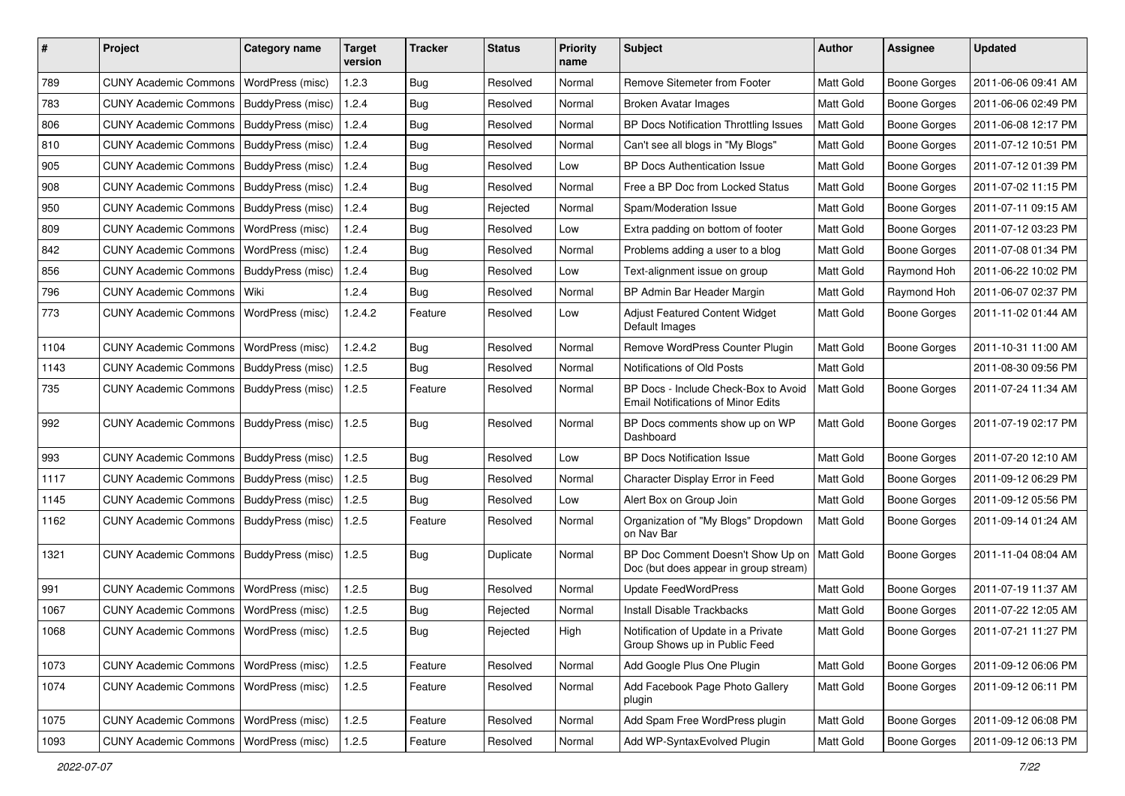| #    | Project                                  | <b>Category name</b> | <b>Target</b><br>version | <b>Tracker</b> | <b>Status</b> | <b>Priority</b><br>name | <b>Subject</b>                                                                    | <b>Author</b>    | <b>Assignee</b>     | <b>Updated</b>      |
|------|------------------------------------------|----------------------|--------------------------|----------------|---------------|-------------------------|-----------------------------------------------------------------------------------|------------------|---------------------|---------------------|
| 789  | <b>CUNY Academic Commons</b>             | WordPress (misc)     | 1.2.3                    | Bug            | Resolved      | Normal                  | Remove Sitemeter from Footer                                                      | Matt Gold        | <b>Boone Gorges</b> | 2011-06-06 09:41 AM |
| 783  | <b>CUNY Academic Commons</b>             | BuddyPress (misc)    | 1.2.4                    | Bug            | Resolved      | Normal                  | <b>Broken Avatar Images</b>                                                       | Matt Gold        | <b>Boone Gorges</b> | 2011-06-06 02:49 PM |
| 806  | <b>CUNY Academic Commons</b>             | BuddyPress (misc)    | 1.2.4                    | Bug            | Resolved      | Normal                  | BP Docs Notification Throttling Issues                                            | Matt Gold        | <b>Boone Gorges</b> | 2011-06-08 12:17 PM |
| 810  | <b>CUNY Academic Commons</b>             | BuddyPress (misc)    | 1.2.4                    | Bug            | Resolved      | Normal                  | Can't see all blogs in "My Blogs"                                                 | Matt Gold        | <b>Boone Gorges</b> | 2011-07-12 10:51 PM |
| 905  | <b>CUNY Academic Commons</b>             | BuddyPress (misc)    | 1.2.4                    | <b>Bug</b>     | Resolved      | Low                     | <b>BP Docs Authentication Issue</b>                                               | Matt Gold        | <b>Boone Gorges</b> | 2011-07-12 01:39 PM |
| 908  | <b>CUNY Academic Commons</b>             | BuddyPress (misc)    | 1.2.4                    | Bug            | Resolved      | Normal                  | Free a BP Doc from Locked Status                                                  | Matt Gold        | <b>Boone Gorges</b> | 2011-07-02 11:15 PM |
| 950  | <b>CUNY Academic Commons</b>             | BuddyPress (misc)    | 1.2.4                    | <b>Bug</b>     | Rejected      | Normal                  | Spam/Moderation Issue                                                             | Matt Gold        | <b>Boone Gorges</b> | 2011-07-11 09:15 AM |
| 809  | <b>CUNY Academic Commons</b>             | WordPress (misc)     | 1.2.4                    | <b>Bug</b>     | Resolved      | Low                     | Extra padding on bottom of footer                                                 | Matt Gold        | <b>Boone Gorges</b> | 2011-07-12 03:23 PM |
| 842  | <b>CUNY Academic Commons</b>             | WordPress (misc)     | 1.2.4                    | Bug            | Resolved      | Normal                  | Problems adding a user to a blog                                                  | Matt Gold        | <b>Boone Gorges</b> | 2011-07-08 01:34 PM |
| 856  | <b>CUNY Academic Commons</b>             | BuddyPress (misc)    | 1.2.4                    | Bug            | Resolved      | Low                     | Text-alignment issue on group                                                     | Matt Gold        | Raymond Hoh         | 2011-06-22 10:02 PM |
| 796  | <b>CUNY Academic Commons</b>             | Wiki                 | 1.2.4                    | <b>Bug</b>     | Resolved      | Normal                  | BP Admin Bar Header Margin                                                        | Matt Gold        | Raymond Hoh         | 2011-06-07 02:37 PM |
| 773  | <b>CUNY Academic Commons</b>             | WordPress (misc)     | 1.2.4.2                  | Feature        | Resolved      | Low                     | <b>Adjust Featured Content Widget</b><br>Default Images                           | Matt Gold        | <b>Boone Gorges</b> | 2011-11-02 01:44 AM |
| 1104 | <b>CUNY Academic Commons</b>             | WordPress (misc)     | 1.2.4.2                  | Bug            | Resolved      | Normal                  | Remove WordPress Counter Plugin                                                   | Matt Gold        | <b>Boone Gorges</b> | 2011-10-31 11:00 AM |
| 1143 | <b>CUNY Academic Commons</b>             | BuddyPress (misc)    | 1.2.5                    | <b>Bug</b>     | Resolved      | Normal                  | Notifications of Old Posts                                                        | Matt Gold        |                     | 2011-08-30 09:56 PM |
| 735  | <b>CUNY Academic Commons</b>             | BuddyPress (misc)    | 1.2.5                    | Feature        | Resolved      | Normal                  | BP Docs - Include Check-Box to Avoid<br><b>Email Notifications of Minor Edits</b> | Matt Gold        | <b>Boone Gorges</b> | 2011-07-24 11:34 AM |
| 992  | <b>CUNY Academic Commons</b>             | BuddyPress (misc)    | 1.2.5                    | Bug            | Resolved      | Normal                  | BP Docs comments show up on WP<br>Dashboard                                       | Matt Gold        | <b>Boone Gorges</b> | 2011-07-19 02:17 PM |
| 993  | <b>CUNY Academic Commons</b>             | BuddyPress (misc)    | 1.2.5                    | Bug            | Resolved      | Low                     | <b>BP Docs Notification Issue</b>                                                 | Matt Gold        | <b>Boone Gorges</b> | 2011-07-20 12:10 AM |
| 1117 | <b>CUNY Academic Commons</b>             | BuddyPress (misc)    | 1.2.5                    | <b>Bug</b>     | Resolved      | Normal                  | Character Display Error in Feed                                                   | Matt Gold        | <b>Boone Gorges</b> | 2011-09-12 06:29 PM |
| 1145 | <b>CUNY Academic Commons</b>             | BuddyPress (misc)    | 1.2.5                    | Bug            | Resolved      | Low                     | Alert Box on Group Join                                                           | Matt Gold        | <b>Boone Gorges</b> | 2011-09-12 05:56 PM |
| 1162 | <b>CUNY Academic Commons</b>             | BuddyPress (misc)    | 1.2.5                    | Feature        | Resolved      | Normal                  | Organization of "My Blogs" Dropdown<br>on Nav Bar                                 | Matt Gold        | <b>Boone Gorges</b> | 2011-09-14 01:24 AM |
| 1321 | <b>CUNY Academic Commons</b>             | BuddyPress (misc)    | 1.2.5                    | Bug            | Duplicate     | Normal                  | BP Doc Comment Doesn't Show Up on<br>Doc (but does appear in group stream)        | <b>Matt Gold</b> | <b>Boone Gorges</b> | 2011-11-04 08:04 AM |
| 991  | <b>CUNY Academic Commons</b>             | WordPress (misc)     | 1.2.5                    | Bug            | Resolved      | Normal                  | <b>Update FeedWordPress</b>                                                       | Matt Gold        | <b>Boone Gorges</b> | 2011-07-19 11:37 AM |
| 1067 | <b>CUNY Academic Commons</b>             | WordPress (misc)     | 1.2.5                    | <b>Bug</b>     | Rejected      | Normal                  | <b>Install Disable Trackbacks</b>                                                 | Matt Gold        | <b>Boone Gorges</b> | 2011-07-22 12:05 AM |
| 1068 | CUNY Academic Commons   WordPress (misc) |                      | 1.2.5                    | Bug            | Rejected      | High                    | Notification of Update in a Private<br>Group Shows up in Public Feed              | Matt Gold        | Boone Gorges        | 2011-07-21 11:27 PM |
| 1073 | <b>CUNY Academic Commons</b>             | WordPress (misc)     | 1.2.5                    | Feature        | Resolved      | Normal                  | Add Google Plus One Plugin                                                        | Matt Gold        | Boone Gorges        | 2011-09-12 06:06 PM |
| 1074 | <b>CUNY Academic Commons</b>             | WordPress (misc)     | 1.2.5                    | Feature        | Resolved      | Normal                  | Add Facebook Page Photo Gallery<br>plugin                                         | Matt Gold        | <b>Boone Gorges</b> | 2011-09-12 06:11 PM |
| 1075 | <b>CUNY Academic Commons</b>             | WordPress (misc)     | 1.2.5                    | Feature        | Resolved      | Normal                  | Add Spam Free WordPress plugin                                                    | Matt Gold        | <b>Boone Gorges</b> | 2011-09-12 06:08 PM |
| 1093 | <b>CUNY Academic Commons</b>             | WordPress (misc)     | 1.2.5                    | Feature        | Resolved      | Normal                  | Add WP-SyntaxEvolved Plugin                                                       | Matt Gold        | Boone Gorges        | 2011-09-12 06:13 PM |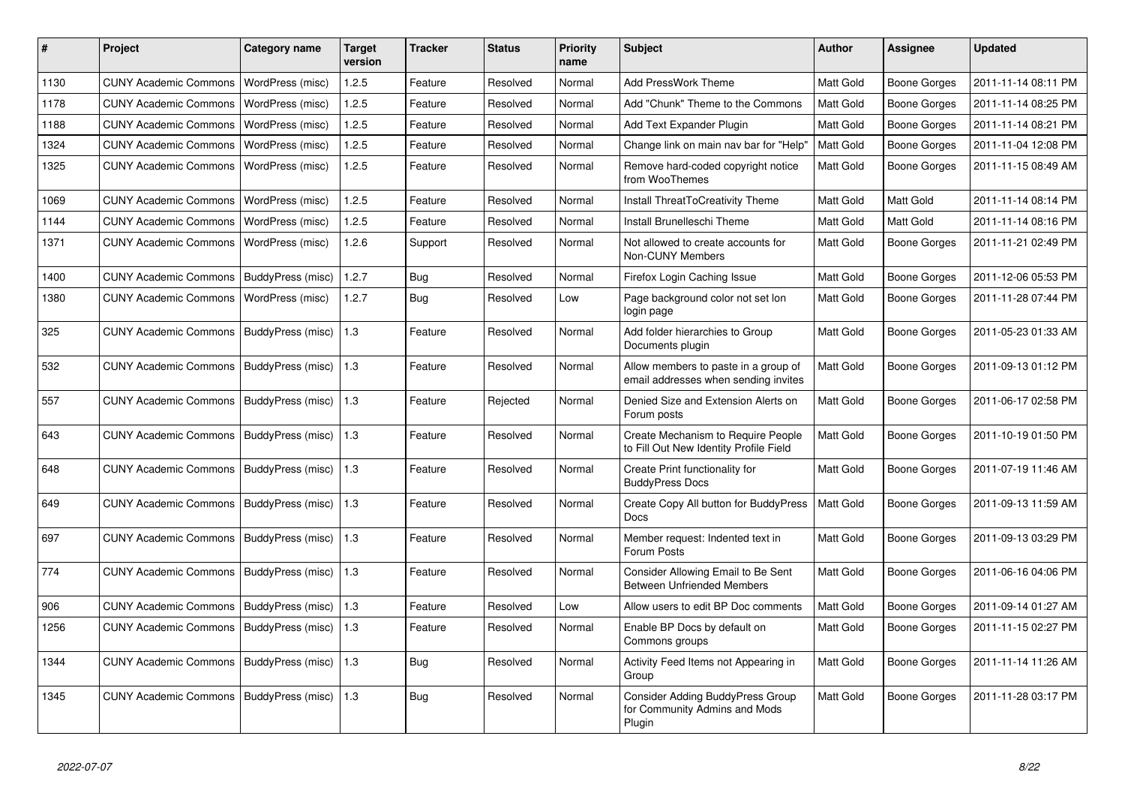| $\vert$ # | Project                      | Category name            | <b>Target</b><br>version | <b>Tracker</b> | <b>Status</b> | <b>Priority</b><br>name | <b>Subject</b>                                                                      | <b>Author</b> | <b>Assignee</b>     | <b>Updated</b>      |
|-----------|------------------------------|--------------------------|--------------------------|----------------|---------------|-------------------------|-------------------------------------------------------------------------------------|---------------|---------------------|---------------------|
| 1130      | <b>CUNY Academic Commons</b> | WordPress (misc)         | 1.2.5                    | Feature        | Resolved      | Normal                  | <b>Add PressWork Theme</b>                                                          | Matt Gold     | <b>Boone Gorges</b> | 2011-11-14 08:11 PM |
| 1178      | <b>CUNY Academic Commons</b> | WordPress (misc)         | 1.2.5                    | Feature        | Resolved      | Normal                  | Add "Chunk" Theme to the Commons                                                    | Matt Gold     | <b>Boone Gorges</b> | 2011-11-14 08:25 PM |
| 1188      | <b>CUNY Academic Commons</b> | WordPress (misc)         | 1.2.5                    | Feature        | Resolved      | Normal                  | Add Text Expander Plugin                                                            | Matt Gold     | <b>Boone Gorges</b> | 2011-11-14 08:21 PM |
| 1324      | <b>CUNY Academic Commons</b> | WordPress (misc)         | 1.2.5                    | Feature        | Resolved      | Normal                  | Change link on main nav bar for "Help"                                              | Matt Gold     | <b>Boone Gorges</b> | 2011-11-04 12:08 PM |
| 1325      | <b>CUNY Academic Commons</b> | WordPress (misc)         | 1.2.5                    | Feature        | Resolved      | Normal                  | Remove hard-coded copyright notice<br>from WooThemes                                | Matt Gold     | <b>Boone Gorges</b> | 2011-11-15 08:49 AM |
| 1069      | <b>CUNY Academic Commons</b> | WordPress (misc)         | 1.2.5                    | Feature        | Resolved      | Normal                  | Install ThreatToCreativity Theme                                                    | Matt Gold     | Matt Gold           | 2011-11-14 08:14 PM |
| 1144      | <b>CUNY Academic Commons</b> | WordPress (misc)         | 1.2.5                    | Feature        | Resolved      | Normal                  | Install Brunelleschi Theme                                                          | Matt Gold     | Matt Gold           | 2011-11-14 08:16 PM |
| 1371      | <b>CUNY Academic Commons</b> | WordPress (misc)         | 1.2.6                    | Support        | Resolved      | Normal                  | Not allowed to create accounts for<br>Non-CUNY Members                              | Matt Gold     | <b>Boone Gorges</b> | 2011-11-21 02:49 PM |
| 1400      | <b>CUNY Academic Commons</b> | BuddyPress (misc)        | 1.2.7                    | <b>Bug</b>     | Resolved      | Normal                  | Firefox Login Caching Issue                                                         | Matt Gold     | <b>Boone Gorges</b> | 2011-12-06 05:53 PM |
| 1380      | <b>CUNY Academic Commons</b> | WordPress (misc)         | 1.2.7                    | <b>Bug</b>     | Resolved      | Low                     | Page background color not set lon<br>login page                                     | Matt Gold     | Boone Gorges        | 2011-11-28 07:44 PM |
| 325       | <b>CUNY Academic Commons</b> | BuddyPress (misc)        | 1.3                      | Feature        | Resolved      | Normal                  | Add folder hierarchies to Group<br>Documents plugin                                 | Matt Gold     | Boone Gorges        | 2011-05-23 01:33 AM |
| 532       | <b>CUNY Academic Commons</b> | BuddyPress (misc)        | 1.3                      | Feature        | Resolved      | Normal                  | Allow members to paste in a group of<br>email addresses when sending invites        | Matt Gold     | <b>Boone Gorges</b> | 2011-09-13 01:12 PM |
| 557       | <b>CUNY Academic Commons</b> | <b>BuddyPress (misc)</b> | 1.3                      | Feature        | Rejected      | Normal                  | Denied Size and Extension Alerts on<br>Forum posts                                  | Matt Gold     | <b>Boone Gorges</b> | 2011-06-17 02:58 PM |
| 643       | <b>CUNY Academic Commons</b> | BuddyPress (misc)        | $\vert$ 1.3              | Feature        | Resolved      | Normal                  | <b>Create Mechanism to Require People</b><br>to Fill Out New Identity Profile Field | Matt Gold     | <b>Boone Gorges</b> | 2011-10-19 01:50 PM |
| 648       | <b>CUNY Academic Commons</b> | BuddyPress (misc)        | 1.3                      | Feature        | Resolved      | Normal                  | Create Print functionality for<br><b>BuddyPress Docs</b>                            | Matt Gold     | Boone Gorges        | 2011-07-19 11:46 AM |
| 649       | <b>CUNY Academic Commons</b> | BuddyPress (misc)        | 1.3                      | Feature        | Resolved      | Normal                  | Create Copy All button for BuddyPress<br><b>Docs</b>                                | Matt Gold     | <b>Boone Gorges</b> | 2011-09-13 11:59 AM |
| 697       | <b>CUNY Academic Commons</b> | BuddyPress (misc)        | $\vert$ 1.3              | Feature        | Resolved      | Normal                  | Member request: Indented text in<br>Forum Posts                                     | Matt Gold     | <b>Boone Gorges</b> | 2011-09-13 03:29 PM |
| 774       | <b>CUNY Academic Commons</b> | BuddyPress (misc)        | 1.3                      | Feature        | Resolved      | Normal                  | Consider Allowing Email to Be Sent<br><b>Between Unfriended Members</b>             | Matt Gold     | Boone Gorges        | 2011-06-16 04:06 PM |
| 906       | <b>CUNY Academic Commons</b> | BuddyPress (misc)        | 1.3                      | Feature        | Resolved      | Low                     | Allow users to edit BP Doc comments                                                 | Matt Gold     | <b>Boone Gorges</b> | 2011-09-14 01:27 AM |
| 1256      | <b>CUNY Academic Commons</b> | <b>BuddyPress (misc)</b> | 1.3                      | Feature        | Resolved      | Normal                  | Enable BP Docs by default on<br>Commons groups                                      | Matt Gold     | <b>Boone Gorges</b> | 2011-11-15 02:27 PM |
| 1344      | <b>CUNY Academic Commons</b> | <b>BuddyPress (misc)</b> | 1.3                      | Bug            | Resolved      | Normal                  | Activity Feed Items not Appearing in<br>Group                                       | Matt Gold     | Boone Gorges        | 2011-11-14 11:26 AM |
| 1345      | <b>CUNY Academic Commons</b> | BuddyPress (misc)        | $\vert$ 1.3              | Bug            | Resolved      | Normal                  | Consider Adding BuddyPress Group<br>for Community Admins and Mods<br>Plugin         | Matt Gold     | <b>Boone Gorges</b> | 2011-11-28 03:17 PM |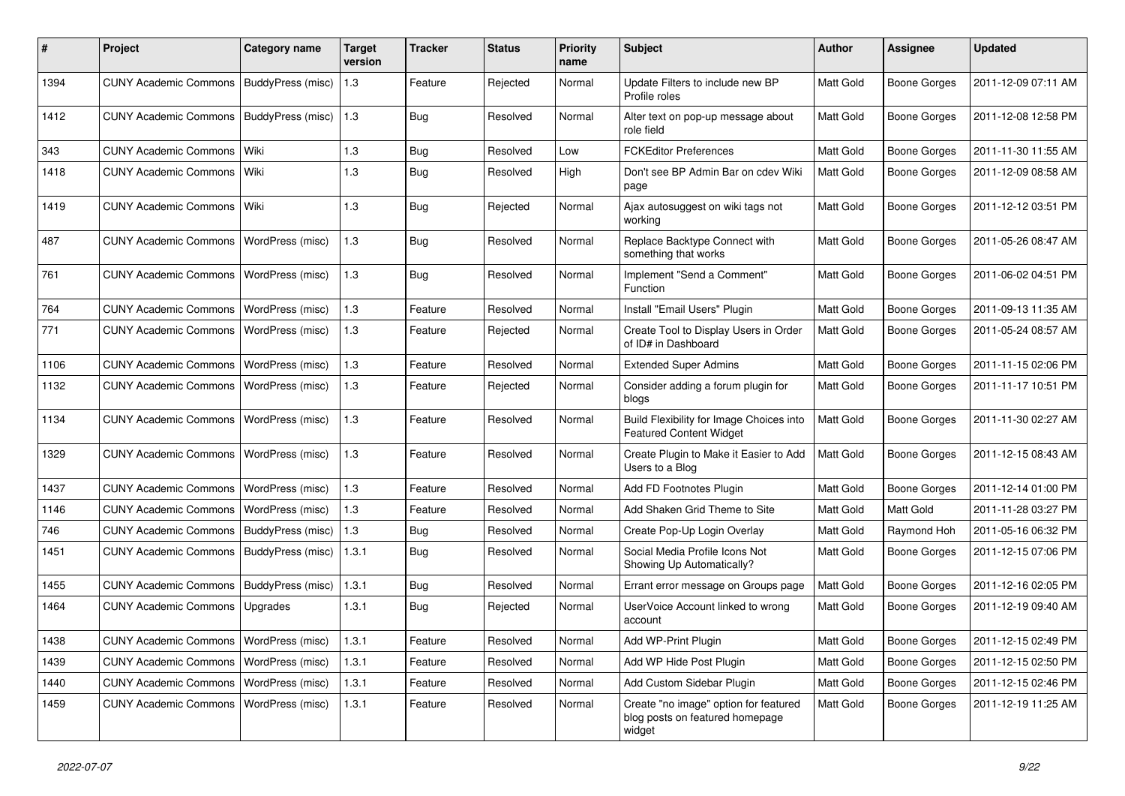| #    | Project                                  | <b>Category name</b>     | <b>Target</b><br>version | <b>Tracker</b> | <b>Status</b> | <b>Priority</b><br>name | <b>Subject</b>                                                                     | <b>Author</b> | <b>Assignee</b>     | <b>Updated</b>      |
|------|------------------------------------------|--------------------------|--------------------------|----------------|---------------|-------------------------|------------------------------------------------------------------------------------|---------------|---------------------|---------------------|
| 1394 | <b>CUNY Academic Commons</b>             | BuddyPress (misc)        | 1.3                      | Feature        | Rejected      | Normal                  | Update Filters to include new BP<br>Profile roles                                  | Matt Gold     | <b>Boone Gorges</b> | 2011-12-09 07:11 AM |
| 1412 | <b>CUNY Academic Commons</b>             | <b>BuddyPress (misc)</b> | 1.3                      | <b>Bug</b>     | Resolved      | Normal                  | Alter text on pop-up message about<br>role field                                   | Matt Gold     | <b>Boone Gorges</b> | 2011-12-08 12:58 PM |
| 343  | <b>CUNY Academic Commons</b>             | Wiki                     | 1.3                      | Bug            | Resolved      | Low                     | <b>FCKEditor Preferences</b>                                                       | Matt Gold     | <b>Boone Gorges</b> | 2011-11-30 11:55 AM |
| 1418 | <b>CUNY Academic Commons</b>             | Wiki                     | 1.3                      | Bug            | Resolved      | High                    | Don't see BP Admin Bar on cdev Wiki<br>page                                        | Matt Gold     | <b>Boone Gorges</b> | 2011-12-09 08:58 AM |
| 1419 | <b>CUNY Academic Commons</b>             | Wiki                     | 1.3                      | Bug            | Rejected      | Normal                  | Ajax autosuggest on wiki tags not<br>working                                       | Matt Gold     | <b>Boone Gorges</b> | 2011-12-12 03:51 PM |
| 487  | <b>CUNY Academic Commons</b>             | WordPress (misc)         | 1.3                      | <b>Bug</b>     | Resolved      | Normal                  | Replace Backtype Connect with<br>something that works                              | Matt Gold     | <b>Boone Gorges</b> | 2011-05-26 08:47 AM |
| 761  | <b>CUNY Academic Commons</b>             | WordPress (misc)         | 1.3                      | Bug            | Resolved      | Normal                  | Implement "Send a Comment"<br>Function                                             | Matt Gold     | <b>Boone Gorges</b> | 2011-06-02 04:51 PM |
| 764  | <b>CUNY Academic Commons</b>             | WordPress (misc)         | 1.3                      | Feature        | Resolved      | Normal                  | Install "Email Users" Plugin                                                       | Matt Gold     | <b>Boone Gorges</b> | 2011-09-13 11:35 AM |
| 771  | <b>CUNY Academic Commons</b>             | WordPress (misc)         | 1.3                      | Feature        | Rejected      | Normal                  | Create Tool to Display Users in Order<br>of ID# in Dashboard                       | Matt Gold     | <b>Boone Gorges</b> | 2011-05-24 08:57 AM |
| 1106 | <b>CUNY Academic Commons</b>             | WordPress (misc)         | 1.3                      | Feature        | Resolved      | Normal                  | <b>Extended Super Admins</b>                                                       | Matt Gold     | <b>Boone Gorges</b> | 2011-11-15 02:06 PM |
| 1132 | <b>CUNY Academic Commons</b>             | WordPress (misc)         | 1.3                      | Feature        | Rejected      | Normal                  | Consider adding a forum plugin for<br>blogs                                        | Matt Gold     | <b>Boone Gorges</b> | 2011-11-17 10:51 PM |
| 1134 | <b>CUNY Academic Commons</b>             | WordPress (misc)         | 1.3                      | Feature        | Resolved      | Normal                  | Build Flexibility for Image Choices into<br><b>Featured Content Widget</b>         | Matt Gold     | <b>Boone Gorges</b> | 2011-11-30 02:27 AM |
| 1329 | <b>CUNY Academic Commons</b>             | WordPress (misc)         | 1.3                      | Feature        | Resolved      | Normal                  | Create Plugin to Make it Easier to Add<br>Users to a Blog                          | Matt Gold     | <b>Boone Gorges</b> | 2011-12-15 08:43 AM |
| 1437 | <b>CUNY Academic Commons</b>             | WordPress (misc)         | 1.3                      | Feature        | Resolved      | Normal                  | Add FD Footnotes Plugin                                                            | Matt Gold     | <b>Boone Gorges</b> | 2011-12-14 01:00 PM |
| 1146 | <b>CUNY Academic Commons</b>             | WordPress (misc)         | 1.3                      | Feature        | Resolved      | Normal                  | Add Shaken Grid Theme to Site                                                      | Matt Gold     | <b>Matt Gold</b>    | 2011-11-28 03:27 PM |
| 746  | <b>CUNY Academic Commons</b>             | BuddyPress (misc)        | $1.3$                    | Bug            | Resolved      | Normal                  | Create Pop-Up Login Overlay                                                        | Matt Gold     | Raymond Hoh         | 2011-05-16 06:32 PM |
| 1451 | <b>CUNY Academic Commons</b>             | BuddyPress (misc)        | 1.3.1                    | <b>Bug</b>     | Resolved      | Normal                  | Social Media Profile Icons Not<br>Showing Up Automatically?                        | Matt Gold     | <b>Boone Gorges</b> | 2011-12-15 07:06 PM |
| 1455 | <b>CUNY Academic Commons</b>             | BuddyPress (misc)        | 1.3.1                    | Bug            | Resolved      | Normal                  | Errant error message on Groups page                                                | Matt Gold     | <b>Boone Gorges</b> | 2011-12-16 02:05 PM |
| 1464 | <b>CUNY Academic Commons</b>             | Upgrades                 | 1.3.1                    | Bug            | Rejected      | Normal                  | UserVoice Account linked to wrong<br>account                                       | Matt Gold     | <b>Boone Gorges</b> | 2011-12-19 09:40 AM |
| 1438 | CUNY Academic Commons   WordPress (misc) |                          | 1.3.1                    | Feature        | Resolved      | Normal                  | Add WP-Print Plugin                                                                | Matt Gold     | <b>Boone Gorges</b> | 2011-12-15 02:49 PM |
| 1439 | <b>CUNY Academic Commons</b>             | WordPress (misc)         | 1.3.1                    | Feature        | Resolved      | Normal                  | Add WP Hide Post Plugin                                                            | Matt Gold     | Boone Gorges        | 2011-12-15 02:50 PM |
| 1440 | <b>CUNY Academic Commons</b>             | WordPress (misc)         | 1.3.1                    | Feature        | Resolved      | Normal                  | Add Custom Sidebar Plugin                                                          | Matt Gold     | Boone Gorges        | 2011-12-15 02:46 PM |
| 1459 | <b>CUNY Academic Commons</b>             | WordPress (misc)         | 1.3.1                    | Feature        | Resolved      | Normal                  | Create "no image" option for featured<br>blog posts on featured homepage<br>widget | Matt Gold     | <b>Boone Gorges</b> | 2011-12-19 11:25 AM |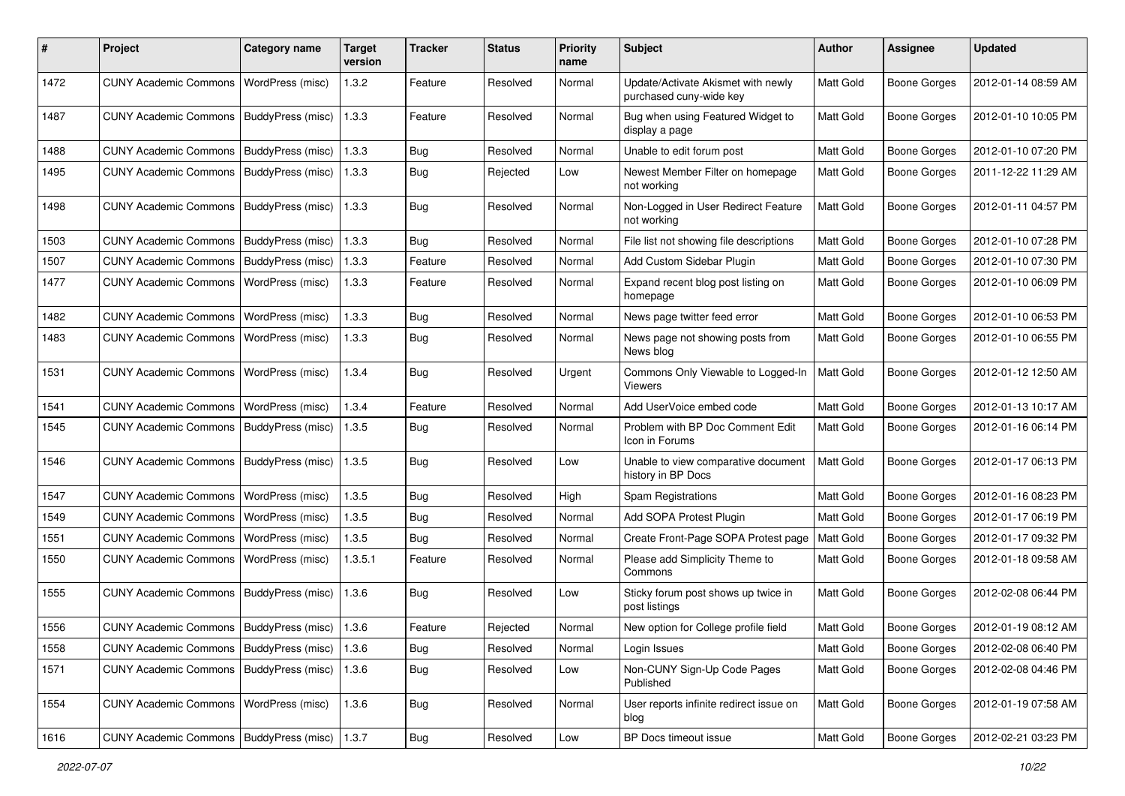| #    | Project                                   | <b>Category name</b> | <b>Target</b><br>version | <b>Tracker</b> | <b>Status</b> | <b>Priority</b><br>name | Subject                                                       | <b>Author</b>    | Assignee            | <b>Updated</b>      |
|------|-------------------------------------------|----------------------|--------------------------|----------------|---------------|-------------------------|---------------------------------------------------------------|------------------|---------------------|---------------------|
| 1472 | <b>CUNY Academic Commons</b>              | WordPress (misc)     | 1.3.2                    | Feature        | Resolved      | Normal                  | Update/Activate Akismet with newly<br>purchased cuny-wide key | Matt Gold        | <b>Boone Gorges</b> | 2012-01-14 08:59 AM |
| 1487 | <b>CUNY Academic Commons</b>              | BuddyPress (misc)    | 1.3.3                    | Feature        | Resolved      | Normal                  | Bug when using Featured Widget to<br>display a page           | Matt Gold        | <b>Boone Gorges</b> | 2012-01-10 10:05 PM |
| 1488 | <b>CUNY Academic Commons</b>              | BuddyPress (misc)    | 1.3.3                    | Bug            | Resolved      | Normal                  | Unable to edit forum post                                     | Matt Gold        | Boone Gorges        | 2012-01-10 07:20 PM |
| 1495 | <b>CUNY Academic Commons</b>              | BuddyPress (misc)    | 1.3.3                    | Bug            | Rejected      | Low                     | Newest Member Filter on homepage<br>not working               | Matt Gold        | Boone Gorges        | 2011-12-22 11:29 AM |
| 1498 | <b>CUNY Academic Commons</b>              | BuddyPress (misc)    | 1.3.3                    | Bug            | Resolved      | Normal                  | Non-Logged in User Redirect Feature<br>not working            | Matt Gold        | Boone Gorges        | 2012-01-11 04:57 PM |
| 1503 | <b>CUNY Academic Commons</b>              | BuddyPress (misc)    | 1.3.3                    | Bug            | Resolved      | Normal                  | File list not showing file descriptions                       | Matt Gold        | <b>Boone Gorges</b> | 2012-01-10 07:28 PM |
| 1507 | <b>CUNY Academic Commons</b>              | BuddyPress (misc)    | 1.3.3                    | Feature        | Resolved      | Normal                  | Add Custom Sidebar Plugin                                     | Matt Gold        | Boone Gorges        | 2012-01-10 07:30 PM |
| 1477 | <b>CUNY Academic Commons</b>              | WordPress (misc)     | 1.3.3                    | Feature        | Resolved      | Normal                  | Expand recent blog post listing on<br>homepage                | Matt Gold        | Boone Gorges        | 2012-01-10 06:09 PM |
| 1482 | <b>CUNY Academic Commons</b>              | WordPress (misc)     | 1.3.3                    | Bug            | Resolved      | Normal                  | News page twitter feed error                                  | Matt Gold        | <b>Boone Gorges</b> | 2012-01-10 06:53 PM |
| 1483 | <b>CUNY Academic Commons</b>              | WordPress (misc)     | 1.3.3                    | <b>Bug</b>     | Resolved      | Normal                  | News page not showing posts from<br>News blog                 | Matt Gold        | Boone Gorges        | 2012-01-10 06:55 PM |
| 1531 | <b>CUNY Academic Commons</b>              | WordPress (misc)     | 1.3.4                    | Bug            | Resolved      | Urgent                  | Commons Only Viewable to Logged-In<br>Viewers                 | <b>Matt Gold</b> | <b>Boone Gorges</b> | 2012-01-12 12:50 AM |
| 1541 | <b>CUNY Academic Commons</b>              | WordPress (misc)     | 1.3.4                    | Feature        | Resolved      | Normal                  | Add UserVoice embed code                                      | Matt Gold        | Boone Gorges        | 2012-01-13 10:17 AM |
| 1545 | <b>CUNY Academic Commons</b>              | BuddyPress (misc)    | 1.3.5                    | <b>Bug</b>     | Resolved      | Normal                  | Problem with BP Doc Comment Edit<br>Icon in Forums            | <b>Matt Gold</b> | Boone Gorges        | 2012-01-16 06:14 PM |
| 1546 | <b>CUNY Academic Commons</b>              | BuddyPress (misc)    | 1.3.5                    | Bug            | Resolved      | Low                     | Unable to view comparative document<br>history in BP Docs     | Matt Gold        | Boone Gorges        | 2012-01-17 06:13 PM |
| 1547 | <b>CUNY Academic Commons</b>              | WordPress (misc)     | 1.3.5                    | Bug            | Resolved      | High                    | Spam Registrations                                            | Matt Gold        | <b>Boone Gorges</b> | 2012-01-16 08:23 PM |
| 1549 | <b>CUNY Academic Commons</b>              | WordPress (misc)     | 1.3.5                    | Bug            | Resolved      | Normal                  | Add SOPA Protest Plugin                                       | Matt Gold        | <b>Boone Gorges</b> | 2012-01-17 06:19 PM |
| 1551 | <b>CUNY Academic Commons</b>              | WordPress (misc)     | 1.3.5                    | Bug            | Resolved      | Normal                  | Create Front-Page SOPA Protest page                           | Matt Gold        | <b>Boone Gorges</b> | 2012-01-17 09:32 PM |
| 1550 | <b>CUNY Academic Commons</b>              | WordPress (misc)     | 1.3.5.1                  | Feature        | Resolved      | Normal                  | Please add Simplicity Theme to<br>Commons                     | Matt Gold        | Boone Gorges        | 2012-01-18 09:58 AM |
| 1555 | <b>CUNY Academic Commons</b>              | BuddyPress (misc)    | 1.3.6                    | Bug            | Resolved      | Low                     | Sticky forum post shows up twice in<br>post listings          | Matt Gold        | Boone Gorges        | 2012-02-08 06:44 PM |
| 1556 | CUNY Academic Commons   BuddyPress (misc) |                      | 1.3.6                    | Feature        | Rejected      | Normal                  | New option for College profile field                          | Matt Gold        | Boone Gorges        | 2012-01-19 08:12 AM |
| 1558 | <b>CUNY Academic Commons</b>              | BuddyPress (misc)    | 1.3.6                    | <b>Bug</b>     | Resolved      | Normal                  | Login Issues                                                  | Matt Gold        | Boone Gorges        | 2012-02-08 06:40 PM |
| 1571 | CUNY Academic Commons   BuddyPress (misc) |                      | 1.3.6                    | Bug            | Resolved      | Low                     | Non-CUNY Sign-Up Code Pages<br>Published                      | Matt Gold        | Boone Gorges        | 2012-02-08 04:46 PM |
| 1554 | <b>CUNY Academic Commons</b>              | WordPress (misc)     | 1.3.6                    | Bug            | Resolved      | Normal                  | User reports infinite redirect issue on<br>blog               | Matt Gold        | Boone Gorges        | 2012-01-19 07:58 AM |
| 1616 | CUNY Academic Commons   BuddyPress (misc) |                      | 1.3.7                    | <b>Bug</b>     | Resolved      | Low                     | BP Docs timeout issue                                         | Matt Gold        | <b>Boone Gorges</b> | 2012-02-21 03:23 PM |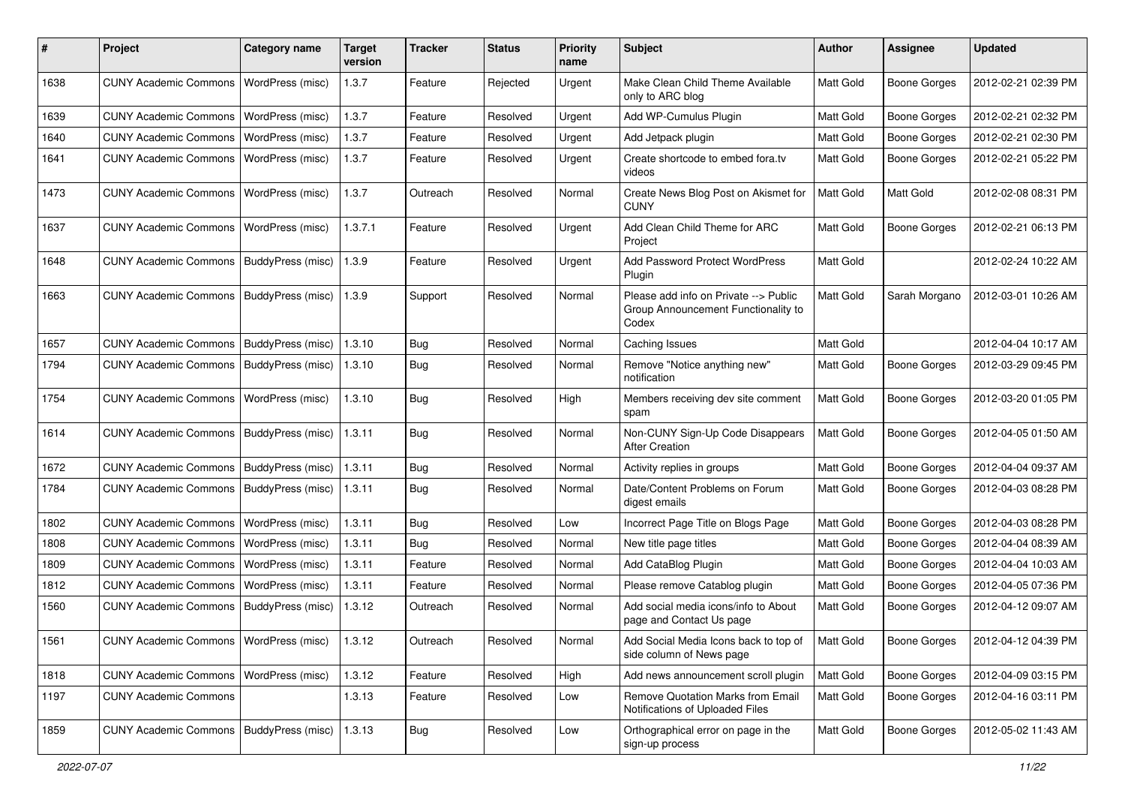| ∦    | Project                                   | <b>Category name</b>    | <b>Target</b><br>version | <b>Tracker</b> | <b>Status</b> | <b>Priority</b><br>name | <b>Subject</b>                                                                        | <b>Author</b>    | <b>Assignee</b>     | <b>Updated</b>      |
|------|-------------------------------------------|-------------------------|--------------------------|----------------|---------------|-------------------------|---------------------------------------------------------------------------------------|------------------|---------------------|---------------------|
| 1638 | <b>CUNY Academic Commons</b>              | WordPress (misc)        | 1.3.7                    | Feature        | Rejected      | Urgent                  | Make Clean Child Theme Available<br>only to ARC blog                                  | <b>Matt Gold</b> | <b>Boone Gorges</b> | 2012-02-21 02:39 PM |
| 1639 | <b>CUNY Academic Commons</b>              | WordPress (misc)        | 1.3.7                    | Feature        | Resolved      | Urgent                  | Add WP-Cumulus Plugin                                                                 | Matt Gold        | Boone Gorges        | 2012-02-21 02:32 PM |
| 1640 | <b>CUNY Academic Commons</b>              | <b>WordPress (misc)</b> | 1.3.7                    | Feature        | Resolved      | Urgent                  | Add Jetpack plugin                                                                    | Matt Gold        | Boone Gorges        | 2012-02-21 02:30 PM |
| 1641 | <b>CUNY Academic Commons</b>              | WordPress (misc)        | 1.3.7                    | Feature        | Resolved      | Urgent                  | Create shortcode to embed fora.tv<br>videos                                           | Matt Gold        | Boone Gorges        | 2012-02-21 05:22 PM |
| 1473 | <b>CUNY Academic Commons</b>              | WordPress (misc)        | 1.3.7                    | Outreach       | Resolved      | Normal                  | Create News Blog Post on Akismet for<br><b>CUNY</b>                                   | Matt Gold        | <b>Matt Gold</b>    | 2012-02-08 08:31 PM |
| 1637 | <b>CUNY Academic Commons</b>              | WordPress (misc)        | 1.3.7.1                  | Feature        | Resolved      | Urgent                  | Add Clean Child Theme for ARC<br>Project                                              | Matt Gold        | <b>Boone Gorges</b> | 2012-02-21 06:13 PM |
| 1648 | <b>CUNY Academic Commons</b>              | BuddyPress (misc)       | 1.3.9                    | Feature        | Resolved      | Urgent                  | <b>Add Password Protect WordPress</b><br>Plugin                                       | Matt Gold        |                     | 2012-02-24 10:22 AM |
| 1663 | <b>CUNY Academic Commons</b>              | BuddyPress (misc)       | 1.3.9                    | Support        | Resolved      | Normal                  | Please add info on Private --> Public<br>Group Announcement Functionality to<br>Codex | Matt Gold        | Sarah Morgano       | 2012-03-01 10:26 AM |
| 1657 | <b>CUNY Academic Commons</b>              | BuddyPress (misc)       | 1.3.10                   | Bug            | Resolved      | Normal                  | Caching Issues                                                                        | Matt Gold        |                     | 2012-04-04 10:17 AM |
| 1794 | <b>CUNY Academic Commons</b>              | BuddyPress (misc)       | 1.3.10                   | <b>Bug</b>     | Resolved      | Normal                  | Remove "Notice anything new"<br>notification                                          | Matt Gold        | Boone Gorges        | 2012-03-29 09:45 PM |
| 1754 | <b>CUNY Academic Commons</b>              | WordPress (misc)        | 1.3.10                   | <b>Bug</b>     | Resolved      | High                    | Members receiving dev site comment<br>spam                                            | Matt Gold        | Boone Gorges        | 2012-03-20 01:05 PM |
| 1614 | <b>CUNY Academic Commons</b>              | BuddyPress (misc)       | 1.3.11                   | <b>Bug</b>     | Resolved      | Normal                  | Non-CUNY Sign-Up Code Disappears<br><b>After Creation</b>                             | Matt Gold        | <b>Boone Gorges</b> | 2012-04-05 01:50 AM |
| 1672 | <b>CUNY Academic Commons</b>              | BuddyPress (misc)       | 1.3.11                   | Bug            | Resolved      | Normal                  | Activity replies in groups                                                            | Matt Gold        | Boone Gorges        | 2012-04-04 09:37 AM |
| 1784 | <b>CUNY Academic Commons</b>              | BuddyPress (misc)       | 1.3.11                   | Bug            | Resolved      | Normal                  | Date/Content Problems on Forum<br>digest emails                                       | Matt Gold        | <b>Boone Gorges</b> | 2012-04-03 08:28 PM |
| 1802 | <b>CUNY Academic Commons</b>              | WordPress (misc)        | 1.3.11                   | Bug            | Resolved      | Low                     | Incorrect Page Title on Blogs Page                                                    | Matt Gold        | <b>Boone Gorges</b> | 2012-04-03 08:28 PM |
| 1808 | <b>CUNY Academic Commons</b>              | WordPress (misc)        | 1.3.11                   | <b>Bug</b>     | Resolved      | Normal                  | New title page titles                                                                 | Matt Gold        | Boone Gorges        | 2012-04-04 08:39 AM |
| 1809 | <b>CUNY Academic Commons</b>              | WordPress (misc)        | 1.3.11                   | Feature        | Resolved      | Normal                  | Add CataBlog Plugin                                                                   | Matt Gold        | Boone Gorges        | 2012-04-04 10:03 AM |
| 1812 | <b>CUNY Academic Commons</b>              | WordPress (misc)        | 1.3.11                   | Feature        | Resolved      | Normal                  | Please remove Catablog plugin                                                         | Matt Gold        | Boone Gorges        | 2012-04-05 07:36 PM |
| 1560 | <b>CUNY Academic Commons</b>              | BuddyPress (misc)       | 1.3.12                   | Outreach       | Resolved      | Normal                  | Add social media icons/info to About<br>page and Contact Us page                      | Matt Gold        | Boone Gorges        | 2012-04-12 09:07 AM |
| 1561 | CUNY Academic Commons   WordPress (misc)  |                         | 1.3.12                   | Outreach       | Resolved      | Normal                  | Add Social Media Icons back to top of<br>side column of News page                     | Matt Gold        | Boone Gorges        | 2012-04-12 04:39 PM |
| 1818 | <b>CUNY Academic Commons</b>              | WordPress (misc)        | 1.3.12                   | Feature        | Resolved      | High                    | Add news announcement scroll plugin                                                   | Matt Gold        | Boone Gorges        | 2012-04-09 03:15 PM |
| 1197 | <b>CUNY Academic Commons</b>              |                         | 1.3.13                   | Feature        | Resolved      | Low                     | Remove Quotation Marks from Email<br>Notifications of Uploaded Files                  | Matt Gold        | Boone Gorges        | 2012-04-16 03:11 PM |
| 1859 | CUNY Academic Commons   BuddyPress (misc) |                         | 1.3.13                   | <b>Bug</b>     | Resolved      | Low                     | Orthographical error on page in the<br>sign-up process                                | Matt Gold        | Boone Gorges        | 2012-05-02 11:43 AM |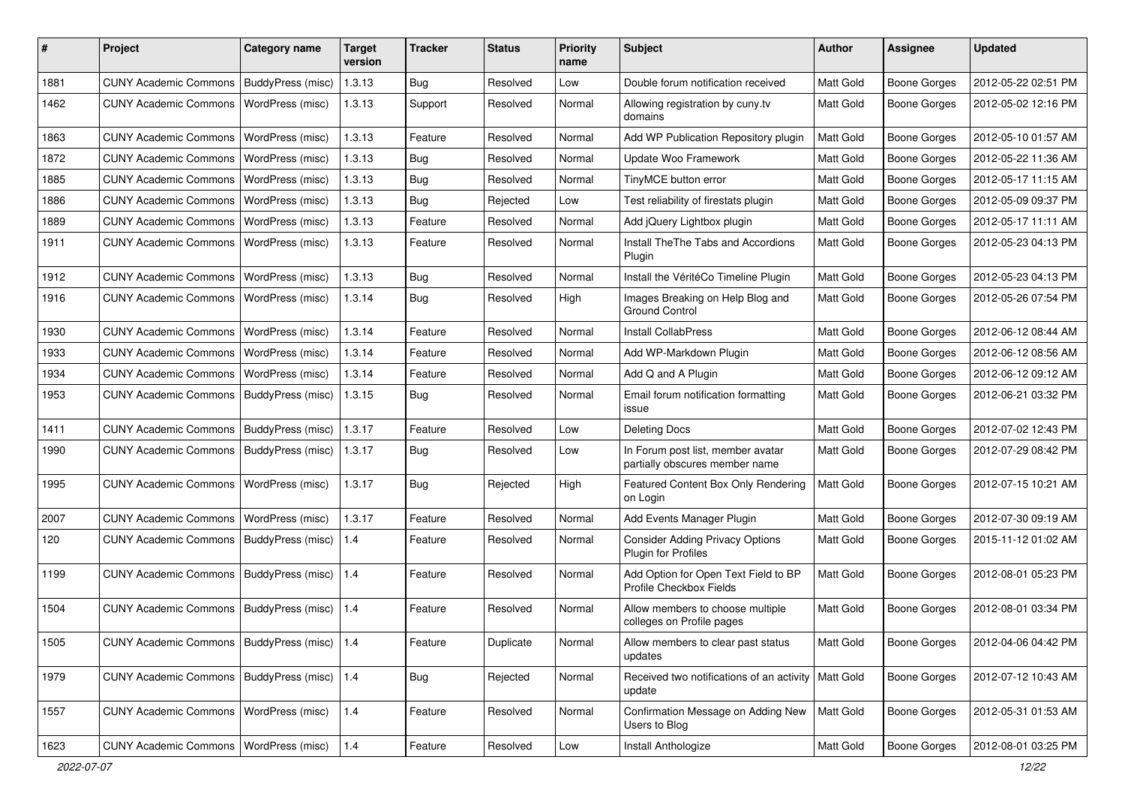| #    | Project                                         | <b>Category name</b> | Target<br>version | Tracker    | <b>Status</b> | <b>Priority</b><br>name | <b>Subject</b>                                                       | <b>Author</b>    | Assignee            | <b>Updated</b>      |
|------|-------------------------------------------------|----------------------|-------------------|------------|---------------|-------------------------|----------------------------------------------------------------------|------------------|---------------------|---------------------|
| 1881 | <b>CUNY Academic Commons</b>                    | BuddyPress (misc)    | 1.3.13            | <b>Bug</b> | Resolved      | Low                     | Double forum notification received                                   | <b>Matt Gold</b> | Boone Gorges        | 2012-05-22 02:51 PM |
| 1462 | <b>CUNY Academic Commons</b>                    | WordPress (misc)     | 1.3.13            | Support    | Resolved      | Normal                  | Allowing registration by cuny.tv<br>domains                          | <b>Matt Gold</b> | Boone Gorges        | 2012-05-02 12:16 PM |
| 1863 | <b>CUNY Academic Commons</b>                    | WordPress (misc)     | 1.3.13            | Feature    | Resolved      | Normal                  | Add WP Publication Repository plugin                                 | Matt Gold        | Boone Gorges        | 2012-05-10 01:57 AM |
| 1872 | <b>CUNY Academic Commons</b>                    | WordPress (misc)     | 1.3.13            | Bug        | Resolved      | Normal                  | Update Woo Framework                                                 | Matt Gold        | Boone Gorges        | 2012-05-22 11:36 AM |
| 1885 | <b>CUNY Academic Commons</b>                    | WordPress (misc)     | 1.3.13            | Bug        | Resolved      | Normal                  | TinyMCE button error                                                 | Matt Gold        | Boone Gorges        | 2012-05-17 11:15 AM |
| 1886 | <b>CUNY Academic Commons</b>                    | WordPress (misc)     | 1.3.13            | <b>Bug</b> | Rejected      | Low                     | Test reliability of firestats plugin                                 | <b>Matt Gold</b> | <b>Boone Gorges</b> | 2012-05-09 09:37 PM |
| 1889 | <b>CUNY Academic Commons</b>                    | WordPress (misc)     | 1.3.13            | Feature    | Resolved      | Normal                  | Add jQuery Lightbox plugin                                           | Matt Gold        | Boone Gorges        | 2012-05-17 11:11 AM |
| 1911 | <b>CUNY Academic Commons</b>                    | WordPress (misc)     | 1.3.13            | Feature    | Resolved      | Normal                  | Install TheThe Tabs and Accordions<br>Plugin                         | Matt Gold        | Boone Gorges        | 2012-05-23 04:13 PM |
| 1912 | <b>CUNY Academic Commons</b>                    | WordPress (misc)     | 1.3.13            | Bug        | Resolved      | Normal                  | Install the VéritéCo Timeline Plugin                                 | Matt Gold        | Boone Gorges        | 2012-05-23 04:13 PM |
| 1916 | <b>CUNY Academic Commons</b>                    | WordPress (misc)     | 1.3.14            | Bug        | Resolved      | High                    | Images Breaking on Help Blog and<br><b>Ground Control</b>            | Matt Gold        | <b>Boone Gorges</b> | 2012-05-26 07:54 PM |
| 1930 | <b>CUNY Academic Commons</b>                    | WordPress (misc)     | 1.3.14            | Feature    | Resolved      | Normal                  | <b>Install CollabPress</b>                                           | Matt Gold        | Boone Gorges        | 2012-06-12 08:44 AM |
| 1933 | <b>CUNY Academic Commons</b>                    | WordPress (misc)     | 1.3.14            | Feature    | Resolved      | Normal                  | Add WP-Markdown Plugin                                               | Matt Gold        | Boone Gorges        | 2012-06-12 08:56 AM |
| 1934 | <b>CUNY Academic Commons</b>                    | WordPress (misc)     | 1.3.14            | Feature    | Resolved      | Normal                  | Add Q and A Plugin                                                   | Matt Gold        | Boone Gorges        | 2012-06-12 09:12 AM |
| 1953 | <b>CUNY Academic Commons</b>                    | BuddyPress (misc)    | 1.3.15            | <b>Bug</b> | Resolved      | Normal                  | Email forum notification formatting<br>issue                         | <b>Matt Gold</b> | Boone Gorges        | 2012-06-21 03:32 PM |
| 1411 | <b>CUNY Academic Commons</b>                    | BuddyPress (misc)    | 1.3.17            | Feature    | Resolved      | Low                     | <b>Deleting Docs</b>                                                 | Matt Gold        | Boone Gorges        | 2012-07-02 12:43 PM |
| 1990 | <b>CUNY Academic Commons</b>                    | BuddyPress (misc)    | 1.3.17            | Bug        | Resolved      | Low                     | In Forum post list, member avatar<br>partially obscures member name  | Matt Gold        | Boone Gorges        | 2012-07-29 08:42 PM |
| 1995 | <b>CUNY Academic Commons</b>                    | WordPress (misc)     | 1.3.17            | Bug        | Rejected      | High                    | Featured Content Box Only Rendering<br>on Login                      | Matt Gold        | Boone Gorges        | 2012-07-15 10:21 AM |
| 2007 | <b>CUNY Academic Commons</b>                    | WordPress (misc)     | 1.3.17            | Feature    | Resolved      | Normal                  | Add Events Manager Plugin                                            | Matt Gold        | <b>Boone Gorges</b> | 2012-07-30 09:19 AM |
| 120  | <b>CUNY Academic Commons</b>                    | BuddyPress (misc)    | 1.4               | Feature    | Resolved      | Normal                  | <b>Consider Adding Privacy Options</b><br><b>Plugin for Profiles</b> | <b>Matt Gold</b> | Boone Gorges        | 2015-11-12 01:02 AM |
| 1199 | <b>CUNY Academic Commons</b>                    | BuddyPress (misc)    | 1.4               | Feature    | Resolved      | Normal                  | Add Option for Open Text Field to BP<br>Profile Checkbox Fields      | Matt Gold        | Boone Gorges        | 2012-08-01 05:23 PM |
| 1504 | <b>CUNY Academic Commons</b>                    | BuddyPress (misc)    | 1.4               | Feature    | Resolved      | Normal                  | Allow members to choose multiple<br>colleges on Profile pages        | Matt Gold        | Boone Gorges        | 2012-08-01 03:34 PM |
| 1505 | CUNY Academic Commons   BuddyPress (misc)   1.4 |                      |                   | Feature    | Duplicate     | Normal                  | Allow members to clear past status<br>updates                        | Matt Gold        | <b>Boone Gorges</b> | 2012-04-06 04:42 PM |
| 1979 | CUNY Academic Commons   BuddyPress (misc)   1.4 |                      |                   | <b>Bug</b> | Rejected      | Normal                  | Received two notifications of an activity<br>update                  | Matt Gold        | Boone Gorges        | 2012-07-12 10:43 AM |
| 1557 | <b>CUNY Academic Commons</b>                    | WordPress (misc)     | 1.4               | Feature    | Resolved      | Normal                  | Confirmation Message on Adding New<br>Users to Blog                  | Matt Gold        | Boone Gorges        | 2012-05-31 01:53 AM |
| 1623 | CUNY Academic Commons   WordPress (misc)        |                      | $1.4$             | Feature    | Resolved      | Low                     | Install Anthologize                                                  | Matt Gold        | <b>Boone Gorges</b> | 2012-08-01 03:25 PM |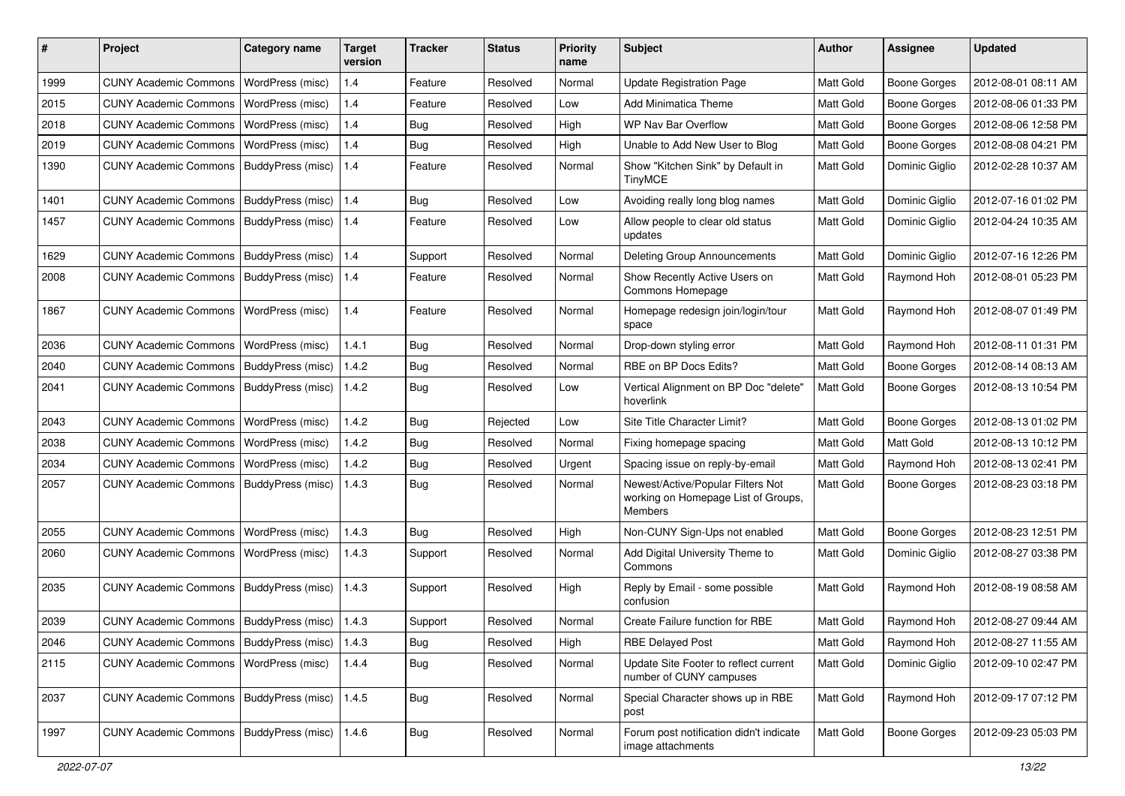| #    | Project                                           | <b>Category name</b>     | <b>Target</b><br>version | <b>Tracker</b> | <b>Status</b> | <b>Priority</b><br>name | Subject                                                                                    | Author           | <b>Assignee</b>     | <b>Updated</b>      |
|------|---------------------------------------------------|--------------------------|--------------------------|----------------|---------------|-------------------------|--------------------------------------------------------------------------------------------|------------------|---------------------|---------------------|
| 1999 | <b>CUNY Academic Commons</b>                      | WordPress (misc)         | 1.4                      | Feature        | Resolved      | Normal                  | <b>Update Registration Page</b>                                                            | Matt Gold        | <b>Boone Gorges</b> | 2012-08-01 08:11 AM |
| 2015 | <b>CUNY Academic Commons</b>                      | WordPress (misc)         | 1.4                      | Feature        | Resolved      | Low                     | <b>Add Minimatica Theme</b>                                                                | <b>Matt Gold</b> | <b>Boone Gorges</b> | 2012-08-06 01:33 PM |
| 2018 | <b>CUNY Academic Commons</b>                      | WordPress (misc)         | 1.4                      | <b>Bug</b>     | Resolved      | High                    | <b>WP Nav Bar Overflow</b>                                                                 | Matt Gold        | <b>Boone Gorges</b> | 2012-08-06 12:58 PM |
| 2019 | <b>CUNY Academic Commons</b>                      | WordPress (misc)         | 1.4                      | <b>Bug</b>     | Resolved      | High                    | Unable to Add New User to Blog                                                             | Matt Gold        | Boone Gorges        | 2012-08-08 04:21 PM |
| 1390 | <b>CUNY Academic Commons</b>                      | BuddyPress (misc)        | 1.4                      | Feature        | Resolved      | Normal                  | Show "Kitchen Sink" by Default in<br><b>TinyMCE</b>                                        | <b>Matt Gold</b> | Dominic Giglio      | 2012-02-28 10:37 AM |
| 1401 | <b>CUNY Academic Commons</b>                      | <b>BuddyPress (misc)</b> | 1.4                      | Bug            | Resolved      | Low                     | Avoiding really long blog names                                                            | Matt Gold        | Dominic Giglio      | 2012-07-16 01:02 PM |
| 1457 | <b>CUNY Academic Commons</b>                      | BuddyPress (misc)        | 1.4                      | Feature        | Resolved      | Low                     | Allow people to clear old status<br>updates                                                | Matt Gold        | Dominic Giglio      | 2012-04-24 10:35 AM |
| 1629 | <b>CUNY Academic Commons</b>                      | <b>BuddyPress (misc)</b> | 1.4                      | Support        | Resolved      | Normal                  | Deleting Group Announcements                                                               | Matt Gold        | Dominic Giglio      | 2012-07-16 12:26 PM |
| 2008 | <b>CUNY Academic Commons</b>                      | BuddyPress (misc)        | 1.4                      | Feature        | Resolved      | Normal                  | Show Recently Active Users on<br>Commons Homepage                                          | <b>Matt Gold</b> | Raymond Hoh         | 2012-08-01 05:23 PM |
| 1867 | <b>CUNY Academic Commons</b>                      | WordPress (misc)         | 1.4                      | Feature        | Resolved      | Normal                  | Homepage redesign join/login/tour<br>space                                                 | Matt Gold        | Raymond Hoh         | 2012-08-07 01:49 PM |
| 2036 | <b>CUNY Academic Commons</b>                      | WordPress (misc)         | 1.4.1                    | Bug            | Resolved      | Normal                  | Drop-down styling error                                                                    | Matt Gold        | Raymond Hoh         | 2012-08-11 01:31 PM |
| 2040 | <b>CUNY Academic Commons</b>                      | BuddyPress (misc)        | 1.4.2                    | <b>Bug</b>     | Resolved      | Normal                  | RBE on BP Docs Edits?                                                                      | Matt Gold        | <b>Boone Gorges</b> | 2012-08-14 08:13 AM |
| 2041 | <b>CUNY Academic Commons</b>                      | BuddyPress (misc)        | 1.4.2                    | Bug            | Resolved      | Low                     | Vertical Alignment on BP Doc "delete"<br>hoverlink                                         | Matt Gold        | <b>Boone Gorges</b> | 2012-08-13 10:54 PM |
| 2043 | <b>CUNY Academic Commons</b>                      | WordPress (misc)         | 1.4.2                    | Bug            | Rejected      | Low                     | Site Title Character Limit?                                                                | Matt Gold        | <b>Boone Gorges</b> | 2012-08-13 01:02 PM |
| 2038 | <b>CUNY Academic Commons</b>                      | WordPress (misc)         | 1.4.2                    | Bug            | Resolved      | Normal                  | Fixing homepage spacing                                                                    | Matt Gold        | Matt Gold           | 2012-08-13 10:12 PM |
| 2034 | <b>CUNY Academic Commons</b>                      | WordPress (misc)         | 1.4.2                    | Bug            | Resolved      | Urgent                  | Spacing issue on reply-by-email                                                            | Matt Gold        | Raymond Hoh         | 2012-08-13 02:41 PM |
| 2057 | <b>CUNY Academic Commons</b>                      | BuddyPress (misc)        | 1.4.3                    | <b>Bug</b>     | Resolved      | Normal                  | Newest/Active/Popular Filters Not<br>working on Homepage List of Groups,<br><b>Members</b> | <b>Matt Gold</b> | Boone Gorges        | 2012-08-23 03:18 PM |
| 2055 | <b>CUNY Academic Commons</b>                      | WordPress (misc)         | 1.4.3                    | Bug            | Resolved      | High                    | Non-CUNY Sign-Ups not enabled                                                              | Matt Gold        | Boone Gorges        | 2012-08-23 12:51 PM |
| 2060 | <b>CUNY Academic Commons</b>                      | WordPress (misc)         | 1.4.3                    | Support        | Resolved      | Normal                  | Add Digital University Theme to<br>Commons                                                 | Matt Gold        | Dominic Giglio      | 2012-08-27 03:38 PM |
| 2035 | <b>CUNY Academic Commons</b>                      | BuddyPress (misc)        | 1.4.3                    | Support        | Resolved      | High                    | Reply by Email - some possible<br>confusion                                                | Matt Gold        | Raymond Hoh         | 2012-08-19 08:58 AM |
| 2039 | CUNY Academic Commons   BuddyPress (misc)         |                          | 1.4.3                    | Support        | Resolved      | Normal                  | Create Failure function for RBE                                                            | Matt Gold        | Raymond Hoh         | 2012-08-27 09:44 AM |
| 2046 | <b>CUNY Academic Commons</b>                      | BuddyPress (misc)        | 1.4.3                    | <b>Bug</b>     | Resolved      | High                    | <b>RBE Delayed Post</b>                                                                    | Matt Gold        | Raymond Hoh         | 2012-08-27 11:55 AM |
| 2115 | <b>CUNY Academic Commons</b>                      | WordPress (misc)         | 1.4.4                    | Bug            | Resolved      | Normal                  | Update Site Footer to reflect current<br>number of CUNY campuses                           | Matt Gold        | Dominic Giglio      | 2012-09-10 02:47 PM |
| 2037 | CUNY Academic Commons   BuddyPress (misc)         |                          | 1.4.5                    | <b>Bug</b>     | Resolved      | Normal                  | Special Character shows up in RBE<br>post                                                  | Matt Gold        | Raymond Hoh         | 2012-09-17 07:12 PM |
| 1997 | CUNY Academic Commons   BuddyPress (misc)   1.4.6 |                          |                          | <b>Bug</b>     | Resolved      | Normal                  | Forum post notification didn't indicate<br>image attachments                               | Matt Gold        | Boone Gorges        | 2012-09-23 05:03 PM |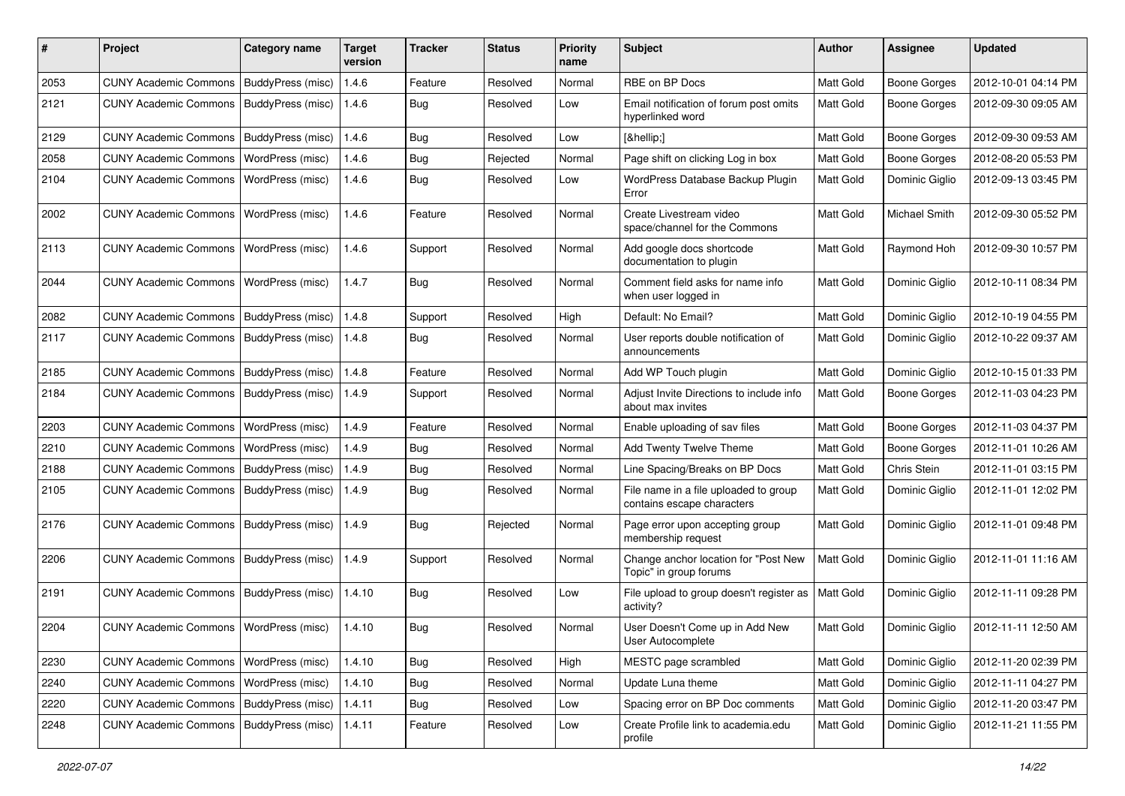| #    | Project                                   | <b>Category name</b>     | <b>Target</b><br>version | <b>Tracker</b> | <b>Status</b> | <b>Priority</b><br>name | Subject                                                             | <b>Author</b>    | <b>Assignee</b>     | <b>Updated</b>      |
|------|-------------------------------------------|--------------------------|--------------------------|----------------|---------------|-------------------------|---------------------------------------------------------------------|------------------|---------------------|---------------------|
| 2053 | <b>CUNY Academic Commons</b>              | BuddyPress (misc)        | 1.4.6                    | Feature        | Resolved      | Normal                  | RBE on BP Docs                                                      | Matt Gold        | <b>Boone Gorges</b> | 2012-10-01 04:14 PM |
| 2121 | <b>CUNY Academic Commons</b>              | BuddyPress (misc)        | 1.4.6                    | Bug            | Resolved      | Low                     | Email notification of forum post omits<br>hyperlinked word          | Matt Gold        | <b>Boone Gorges</b> | 2012-09-30 09:05 AM |
| 2129 | <b>CUNY Academic Commons</b>              | <b>BuddyPress (misc)</b> | 1.4.6                    | <b>Bug</b>     | Resolved      | Low                     | […]                                                                 | Matt Gold        | <b>Boone Gorges</b> | 2012-09-30 09:53 AM |
| 2058 | <b>CUNY Academic Commons</b>              | WordPress (misc)         | 1.4.6                    | <b>Bug</b>     | Rejected      | Normal                  | Page shift on clicking Log in box                                   | Matt Gold        | <b>Boone Gorges</b> | 2012-08-20 05:53 PM |
| 2104 | <b>CUNY Academic Commons</b>              | <b>WordPress (misc)</b>  | 1.4.6                    | Bug            | Resolved      | Low                     | WordPress Database Backup Plugin<br>Error                           | Matt Gold        | Dominic Giglio      | 2012-09-13 03:45 PM |
| 2002 | <b>CUNY Academic Commons</b>              | WordPress (misc)         | 1.4.6                    | Feature        | Resolved      | Normal                  | Create Livestream video<br>space/channel for the Commons            | Matt Gold        | Michael Smith       | 2012-09-30 05:52 PM |
| 2113 | <b>CUNY Academic Commons</b>              | WordPress (misc)         | 1.4.6                    | Support        | Resolved      | Normal                  | Add google docs shortcode<br>documentation to plugin                | Matt Gold        | Raymond Hoh         | 2012-09-30 10:57 PM |
| 2044 | <b>CUNY Academic Commons</b>              | WordPress (misc)         | 1.4.7                    | <b>Bug</b>     | Resolved      | Normal                  | Comment field asks for name info<br>when user logged in             | <b>Matt Gold</b> | Dominic Giglio      | 2012-10-11 08:34 PM |
| 2082 | <b>CUNY Academic Commons</b>              | <b>BuddyPress (misc)</b> | 1.4.8                    | Support        | Resolved      | High                    | Default: No Email?                                                  | Matt Gold        | Dominic Giglio      | 2012-10-19 04:55 PM |
| 2117 | <b>CUNY Academic Commons</b>              | BuddyPress (misc)        | 1.4.8                    | Bug            | Resolved      | Normal                  | User reports double notification of<br>announcements                | Matt Gold        | Dominic Giglio      | 2012-10-22 09:37 AM |
| 2185 | <b>CUNY Academic Commons</b>              | BuddyPress (misc)        | 1.4.8                    | Feature        | Resolved      | Normal                  | Add WP Touch plugin                                                 | Matt Gold        | Dominic Giglio      | 2012-10-15 01:33 PM |
| 2184 | <b>CUNY Academic Commons</b>              | BuddyPress (misc)        | 1.4.9                    | Support        | Resolved      | Normal                  | Adjust Invite Directions to include info<br>about max invites       | Matt Gold        | <b>Boone Gorges</b> | 2012-11-03 04:23 PM |
| 2203 | <b>CUNY Academic Commons</b>              | WordPress (misc)         | 1.4.9                    | Feature        | Resolved      | Normal                  | Enable uploading of sav files                                       | Matt Gold        | <b>Boone Gorges</b> | 2012-11-03 04:37 PM |
| 2210 | <b>CUNY Academic Commons</b>              | WordPress (misc)         | 1.4.9                    | <b>Bug</b>     | Resolved      | Normal                  | Add Twenty Twelve Theme                                             | Matt Gold        | <b>Boone Gorges</b> | 2012-11-01 10:26 AM |
| 2188 | <b>CUNY Academic Commons</b>              | BuddyPress (misc)        | 1.4.9                    | <b>Bug</b>     | Resolved      | Normal                  | Line Spacing/Breaks on BP Docs                                      | Matt Gold        | Chris Stein         | 2012-11-01 03:15 PM |
| 2105 | <b>CUNY Academic Commons</b>              | BuddyPress (misc)        | 1.4.9                    | <b>Bug</b>     | Resolved      | Normal                  | File name in a file uploaded to group<br>contains escape characters | Matt Gold        | Dominic Giglio      | 2012-11-01 12:02 PM |
| 2176 | <b>CUNY Academic Commons</b>              | BuddyPress (misc)        | 1.4.9                    | Bug            | Rejected      | Normal                  | Page error upon accepting group<br>membership request               | Matt Gold        | Dominic Giglio      | 2012-11-01 09:48 PM |
| 2206 | <b>CUNY Academic Commons</b>              | <b>BuddyPress (misc)</b> | 1.4.9                    | Support        | Resolved      | Normal                  | Change anchor location for "Post New<br>Topic" in group forums      | Matt Gold        | Dominic Giglio      | 2012-11-01 11:16 AM |
| 2191 | <b>CUNY Academic Commons</b>              | BuddyPress (misc)        | 1.4.10                   | Bug            | Resolved      | Low                     | File upload to group doesn't register as<br>activity?               | <b>Matt Gold</b> | Dominic Giglio      | 2012-11-11 09:28 PM |
| 2204 | CUNY Academic Commons   WordPress (misc)  |                          | 1.4.10                   | <b>Bug</b>     | Resolved      | Normal                  | User Doesn't Come up in Add New<br>User Autocomplete                | Matt Gold        | Dominic Giglio      | 2012-11-11 12:50 AM |
| 2230 | CUNY Academic Commons   WordPress (misc)  |                          | 1.4.10                   | <b>Bug</b>     | Resolved      | High                    | MESTC page scrambled                                                | Matt Gold        | Dominic Giglio      | 2012-11-20 02:39 PM |
| 2240 | <b>CUNY Academic Commons</b>              | WordPress (misc)         | 1.4.10                   | <b>Bug</b>     | Resolved      | Normal                  | Update Luna theme                                                   | Matt Gold        | Dominic Giglio      | 2012-11-11 04:27 PM |
| 2220 | <b>CUNY Academic Commons</b>              | BuddyPress (misc)        | 1.4.11                   | <b>Bug</b>     | Resolved      | Low                     | Spacing error on BP Doc comments                                    | Matt Gold        | Dominic Giglio      | 2012-11-20 03:47 PM |
| 2248 | CUNY Academic Commons   BuddyPress (misc) |                          | 1.4.11                   | Feature        | Resolved      | Low                     | Create Profile link to academia.edu<br>profile                      | Matt Gold        | Dominic Giglio      | 2012-11-21 11:55 PM |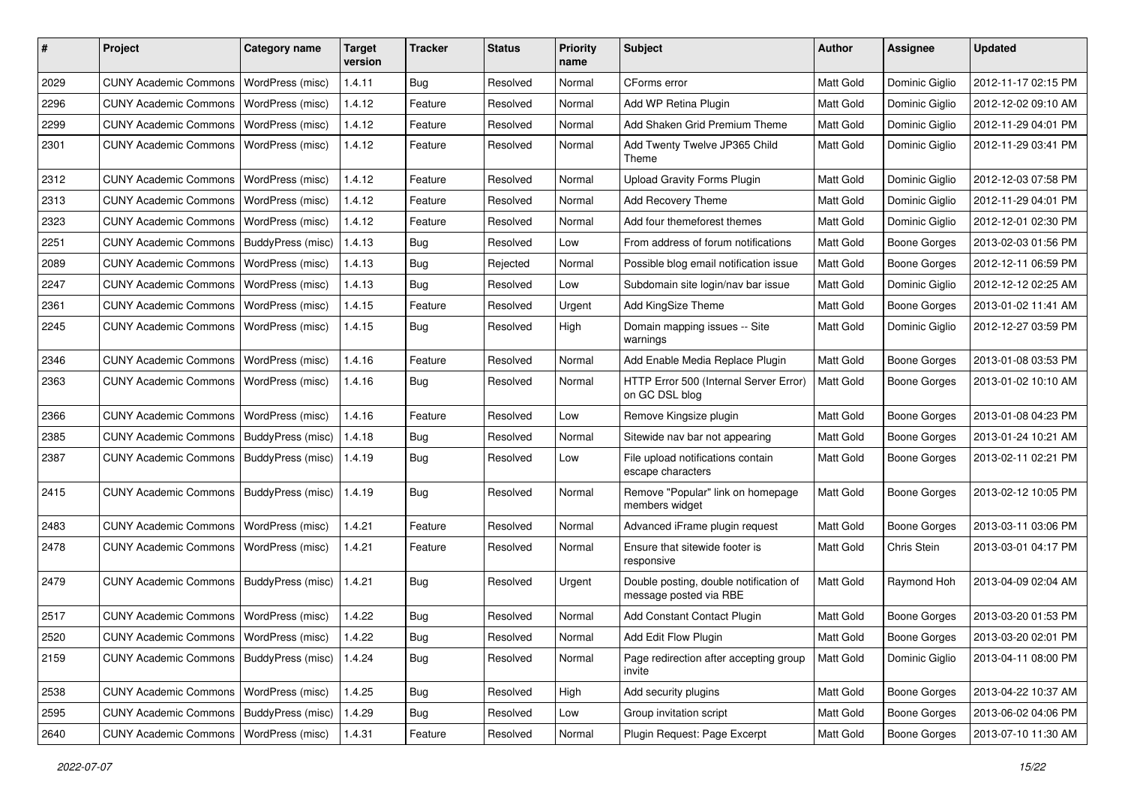| #    | Project                                  | <b>Category name</b> | <b>Target</b><br>version | <b>Tracker</b> | <b>Status</b> | <b>Priority</b><br>name | Subject                                                          | <b>Author</b> | <b>Assignee</b>     | <b>Updated</b>      |
|------|------------------------------------------|----------------------|--------------------------|----------------|---------------|-------------------------|------------------------------------------------------------------|---------------|---------------------|---------------------|
| 2029 | <b>CUNY Academic Commons</b>             | WordPress (misc)     | 1.4.11                   | Bug            | Resolved      | Normal                  | CForms error                                                     | Matt Gold     | Dominic Giglio      | 2012-11-17 02:15 PM |
| 2296 | <b>CUNY Academic Commons</b>             | WordPress (misc)     | 1.4.12                   | Feature        | Resolved      | Normal                  | Add WP Retina Plugin                                             | Matt Gold     | Dominic Giglio      | 2012-12-02 09:10 AM |
| 2299 | <b>CUNY Academic Commons</b>             | WordPress (misc)     | 1.4.12                   | Feature        | Resolved      | Normal                  | Add Shaken Grid Premium Theme                                    | Matt Gold     | Dominic Giglio      | 2012-11-29 04:01 PM |
| 2301 | <b>CUNY Academic Commons</b>             | WordPress (misc)     | 1.4.12                   | Feature        | Resolved      | Normal                  | Add Twenty Twelve JP365 Child<br>Theme                           | Matt Gold     | Dominic Giglio      | 2012-11-29 03:41 PM |
| 2312 | <b>CUNY Academic Commons</b>             | WordPress (misc)     | 1.4.12                   | Feature        | Resolved      | Normal                  | <b>Upload Gravity Forms Plugin</b>                               | Matt Gold     | Dominic Giglio      | 2012-12-03 07:58 PM |
| 2313 | <b>CUNY Academic Commons</b>             | WordPress (misc)     | 1.4.12                   | Feature        | Resolved      | Normal                  | Add Recovery Theme                                               | Matt Gold     | Dominic Giglio      | 2012-11-29 04:01 PM |
| 2323 | <b>CUNY Academic Commons</b>             | WordPress (misc)     | 1.4.12                   | Feature        | Resolved      | Normal                  | Add four themeforest themes                                      | Matt Gold     | Dominic Giglio      | 2012-12-01 02:30 PM |
| 2251 | <b>CUNY Academic Commons</b>             | BuddyPress (misc)    | 1.4.13                   | <b>Bug</b>     | Resolved      | Low                     | From address of forum notifications                              | Matt Gold     | <b>Boone Gorges</b> | 2013-02-03 01:56 PM |
| 2089 | <b>CUNY Academic Commons</b>             | WordPress (misc)     | 1.4.13                   | <b>Bug</b>     | Rejected      | Normal                  | Possible blog email notification issue                           | Matt Gold     | <b>Boone Gorges</b> | 2012-12-11 06:59 PM |
| 2247 | <b>CUNY Academic Commons</b>             | WordPress (misc)     | 1.4.13                   | Bug            | Resolved      | Low                     | Subdomain site login/nav bar issue                               | Matt Gold     | Dominic Giglio      | 2012-12-12 02:25 AM |
| 2361 | <b>CUNY Academic Commons</b>             | WordPress (misc)     | 1.4.15                   | Feature        | Resolved      | Urgent                  | Add KingSize Theme                                               | Matt Gold     | <b>Boone Gorges</b> | 2013-01-02 11:41 AM |
| 2245 | <b>CUNY Academic Commons</b>             | WordPress (misc)     | 1.4.15                   | Bug            | Resolved      | High                    | Domain mapping issues -- Site<br>warnings                        | Matt Gold     | Dominic Giglio      | 2012-12-27 03:59 PM |
| 2346 | <b>CUNY Academic Commons</b>             | WordPress (misc)     | 1.4.16                   | Feature        | Resolved      | Normal                  | Add Enable Media Replace Plugin                                  | Matt Gold     | <b>Boone Gorges</b> | 2013-01-08 03:53 PM |
| 2363 | <b>CUNY Academic Commons</b>             | WordPress (misc)     | 1.4.16                   | Bug            | Resolved      | Normal                  | HTTP Error 500 (Internal Server Error)<br>on GC DSL blog         | Matt Gold     | <b>Boone Gorges</b> | 2013-01-02 10:10 AM |
| 2366 | <b>CUNY Academic Commons</b>             | WordPress (misc)     | 1.4.16                   | Feature        | Resolved      | Low                     | Remove Kingsize plugin                                           | Matt Gold     | <b>Boone Gorges</b> | 2013-01-08 04:23 PM |
| 2385 | <b>CUNY Academic Commons</b>             | BuddyPress (misc)    | 1.4.18                   | Bug            | Resolved      | Normal                  | Sitewide nav bar not appearing                                   | Matt Gold     | <b>Boone Gorges</b> | 2013-01-24 10:21 AM |
| 2387 | <b>CUNY Academic Commons</b>             | BuddyPress (misc)    | 1.4.19                   | Bug            | Resolved      | Low                     | File upload notifications contain<br>escape characters           | Matt Gold     | <b>Boone Gorges</b> | 2013-02-11 02:21 PM |
| 2415 | <b>CUNY Academic Commons</b>             | BuddyPress (misc)    | 1.4.19                   | Bug            | Resolved      | Normal                  | Remove "Popular" link on homepage<br>members widget              | Matt Gold     | <b>Boone Gorges</b> | 2013-02-12 10:05 PM |
| 2483 | <b>CUNY Academic Commons</b>             | WordPress (misc)     | 1.4.21                   | Feature        | Resolved      | Normal                  | Advanced iFrame plugin request                                   | Matt Gold     | Boone Gorges        | 2013-03-11 03:06 PM |
| 2478 | <b>CUNY Academic Commons</b>             | WordPress (misc)     | 1.4.21                   | Feature        | Resolved      | Normal                  | Ensure that sitewide footer is<br>responsive                     | Matt Gold     | Chris Stein         | 2013-03-01 04:17 PM |
| 2479 | <b>CUNY Academic Commons</b>             | BuddyPress (misc)    | 1.4.21                   | Bug            | Resolved      | Urgent                  | Double posting, double notification of<br>message posted via RBE | Matt Gold     | Raymond Hoh         | 2013-04-09 02:04 AM |
| 2517 | <b>CUNY Academic Commons</b>             | WordPress (misc)     | 1.4.22                   | Bug            | Resolved      | Normal                  | Add Constant Contact Plugin                                      | Matt Gold     | <b>Boone Gorges</b> | 2013-03-20 01:53 PM |
| 2520 | CUNY Academic Commons   WordPress (misc) |                      | 1.4.22                   | Bug            | Resolved      | Normal                  | Add Edit Flow Plugin                                             | Matt Gold     | Boone Gorges        | 2013-03-20 02:01 PM |
| 2159 | <b>CUNY Academic Commons</b>             | BuddyPress (misc)    | 1.4.24                   | Bug            | Resolved      | Normal                  | Page redirection after accepting group<br>invite                 | Matt Gold     | Dominic Giglio      | 2013-04-11 08:00 PM |
| 2538 | <b>CUNY Academic Commons</b>             | WordPress (misc)     | 1.4.25                   | Bug            | Resolved      | High                    | Add security plugins                                             | Matt Gold     | Boone Gorges        | 2013-04-22 10:37 AM |
| 2595 | <b>CUNY Academic Commons</b>             | BuddyPress (misc)    | 1.4.29                   | Bug            | Resolved      | Low                     | Group invitation script                                          | Matt Gold     | <b>Boone Gorges</b> | 2013-06-02 04:06 PM |
| 2640 | <b>CUNY Academic Commons</b>             | WordPress (misc)     | 1.4.31                   | Feature        | Resolved      | Normal                  | Plugin Request: Page Excerpt                                     | Matt Gold     | <b>Boone Gorges</b> | 2013-07-10 11:30 AM |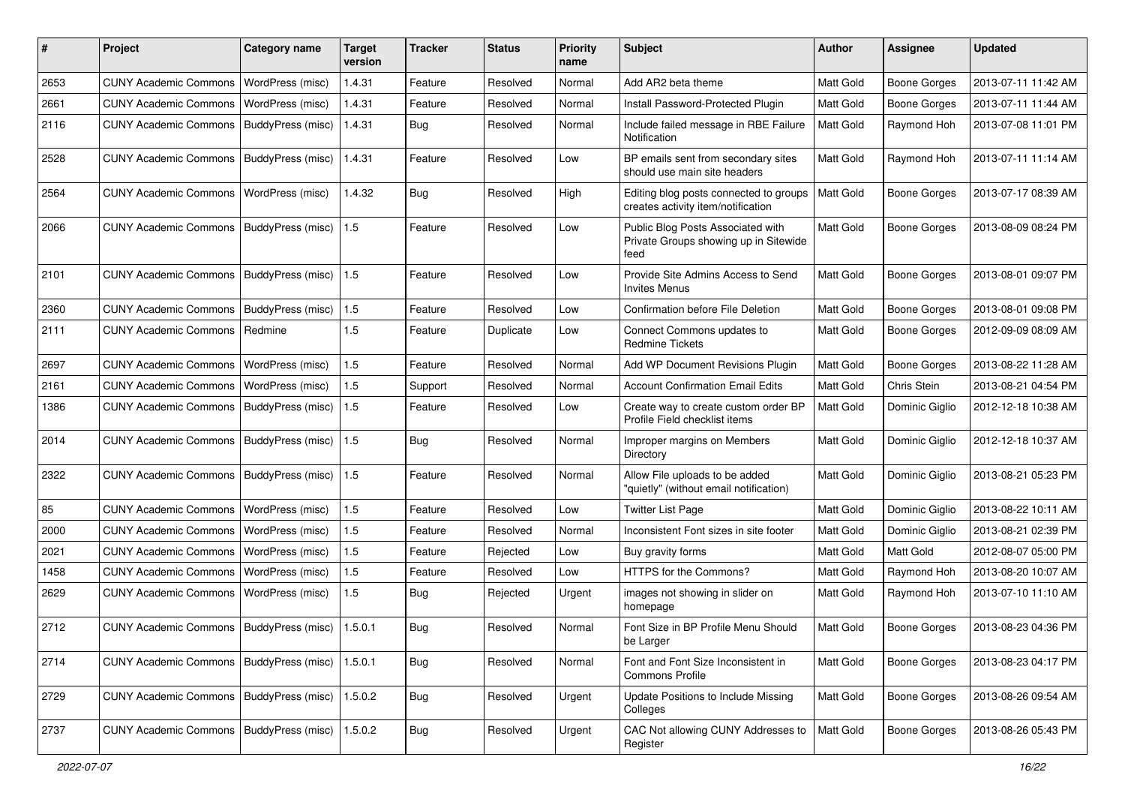| #    | Project                                   | Category name     | <b>Target</b><br>version | <b>Tracker</b> | <b>Status</b> | <b>Priority</b><br>name | <b>Subject</b>                                                                     | Author           | <b>Assignee</b>     | <b>Updated</b>      |
|------|-------------------------------------------|-------------------|--------------------------|----------------|---------------|-------------------------|------------------------------------------------------------------------------------|------------------|---------------------|---------------------|
| 2653 | <b>CUNY Academic Commons</b>              | WordPress (misc)  | 1.4.31                   | Feature        | Resolved      | Normal                  | Add AR2 beta theme                                                                 | Matt Gold        | <b>Boone Gorges</b> | 2013-07-11 11:42 AM |
| 2661 | <b>CUNY Academic Commons</b>              | WordPress (misc)  | 1.4.31                   | Feature        | Resolved      | Normal                  | Install Password-Protected Plugin                                                  | Matt Gold        | <b>Boone Gorges</b> | 2013-07-11 11:44 AM |
| 2116 | <b>CUNY Academic Commons</b>              | BuddyPress (misc) | 1.4.31                   | <b>Bug</b>     | Resolved      | Normal                  | Include failed message in RBE Failure<br>Notification                              | Matt Gold        | Raymond Hoh         | 2013-07-08 11:01 PM |
| 2528 | <b>CUNY Academic Commons</b>              | BuddyPress (misc) | 1.4.31                   | Feature        | Resolved      | Low                     | BP emails sent from secondary sites<br>should use main site headers                | Matt Gold        | Raymond Hoh         | 2013-07-11 11:14 AM |
| 2564 | <b>CUNY Academic Commons</b>              | WordPress (misc)  | 1.4.32                   | Bug            | Resolved      | High                    | Editing blog posts connected to groups<br>creates activity item/notification       | Matt Gold        | <b>Boone Gorges</b> | 2013-07-17 08:39 AM |
| 2066 | <b>CUNY Academic Commons</b>              | BuddyPress (misc) | 1.5                      | Feature        | Resolved      | Low                     | Public Blog Posts Associated with<br>Private Groups showing up in Sitewide<br>feed | Matt Gold        | <b>Boone Gorges</b> | 2013-08-09 08:24 PM |
| 2101 | <b>CUNY Academic Commons</b>              | BuddyPress (misc) | 1.5                      | Feature        | Resolved      | Low                     | Provide Site Admins Access to Send<br>Invites Menus                                | <b>Matt Gold</b> | <b>Boone Gorges</b> | 2013-08-01 09:07 PM |
| 2360 | <b>CUNY Academic Commons</b>              | BuddyPress (misc) | 1.5                      | Feature        | Resolved      | Low                     | Confirmation before File Deletion                                                  | Matt Gold        | Boone Gorges        | 2013-08-01 09:08 PM |
| 2111 | <b>CUNY Academic Commons</b>              | Redmine           | 1.5                      | Feature        | Duplicate     | Low                     | Connect Commons updates to<br><b>Redmine Tickets</b>                               | <b>Matt Gold</b> | <b>Boone Gorges</b> | 2012-09-09 08:09 AM |
| 2697 | <b>CUNY Academic Commons</b>              | WordPress (misc)  | 1.5                      | Feature        | Resolved      | Normal                  | Add WP Document Revisions Plugin                                                   | Matt Gold        | <b>Boone Gorges</b> | 2013-08-22 11:28 AM |
| 2161 | <b>CUNY Academic Commons</b>              | WordPress (misc)  | 1.5                      | Support        | Resolved      | Normal                  | <b>Account Confirmation Email Edits</b>                                            | Matt Gold        | Chris Stein         | 2013-08-21 04:54 PM |
| 1386 | <b>CUNY Academic Commons</b>              | BuddyPress (misc) | 1.5                      | Feature        | Resolved      | Low                     | Create way to create custom order BP<br>Profile Field checklist items              | Matt Gold        | Dominic Giglio      | 2012-12-18 10:38 AM |
| 2014 | <b>CUNY Academic Commons</b>              | BuddyPress (misc) | 1.5                      | Bug            | Resolved      | Normal                  | Improper margins on Members<br>Directory                                           | <b>Matt Gold</b> | Dominic Giglio      | 2012-12-18 10:37 AM |
| 2322 | <b>CUNY Academic Commons</b>              | BuddyPress (misc) | 1.5                      | Feature        | Resolved      | Normal                  | Allow File uploads to be added<br>"quietly" (without email notification)           | <b>Matt Gold</b> | Dominic Giglio      | 2013-08-21 05:23 PM |
| 85   | <b>CUNY Academic Commons</b>              | WordPress (misc)  | 1.5                      | Feature        | Resolved      | Low                     | <b>Twitter List Page</b>                                                           | Matt Gold        | Dominic Giglio      | 2013-08-22 10:11 AM |
| 2000 | <b>CUNY Academic Commons</b>              | WordPress (misc)  | 1.5                      | Feature        | Resolved      | Normal                  | Inconsistent Font sizes in site footer                                             | Matt Gold        | Dominic Giglio      | 2013-08-21 02:39 PM |
| 2021 | <b>CUNY Academic Commons</b>              | WordPress (misc)  | 1.5                      | Feature        | Rejected      | Low                     | Buy gravity forms                                                                  | <b>Matt Gold</b> | Matt Gold           | 2012-08-07 05:00 PM |
| 1458 | <b>CUNY Academic Commons</b>              | WordPress (misc)  | 1.5                      | Feature        | Resolved      | Low                     | HTTPS for the Commons?                                                             | Matt Gold        | Raymond Hoh         | 2013-08-20 10:07 AM |
| 2629 | <b>CUNY Academic Commons</b>              | WordPress (misc)  | 1.5                      | Bug            | Rejected      | Urgent                  | images not showing in slider on<br>homepage                                        | Matt Gold        | Raymond Hoh         | 2013-07-10 11:10 AM |
| 2712 | CUNY Academic Commons   BuddyPress (misc) |                   | 1.5.0.1                  | <b>Bug</b>     | Resolved      | Normal                  | Font Size in BP Profile Menu Should<br>be Larger                                   | <b>Matt Gold</b> | Boone Gorges        | 2013-08-23 04:36 PM |
| 2714 | CUNY Academic Commons   BuddyPress (misc) |                   | 1.5.0.1                  | Bug            | Resolved      | Normal                  | Font and Font Size Inconsistent in<br><b>Commons Profile</b>                       | Matt Gold        | Boone Gorges        | 2013-08-23 04:17 PM |
| 2729 | <b>CUNY Academic Commons</b>              | BuddyPress (misc) | 1.5.0.2                  | <b>Bug</b>     | Resolved      | Urgent                  | Update Positions to Include Missing<br>Colleges                                    | Matt Gold        | Boone Gorges        | 2013-08-26 09:54 AM |
| 2737 | CUNY Academic Commons   BuddyPress (misc) |                   | 1.5.0.2                  | <b>Bug</b>     | Resolved      | Urgent                  | CAC Not allowing CUNY Addresses to<br>Register                                     | Matt Gold        | Boone Gorges        | 2013-08-26 05:43 PM |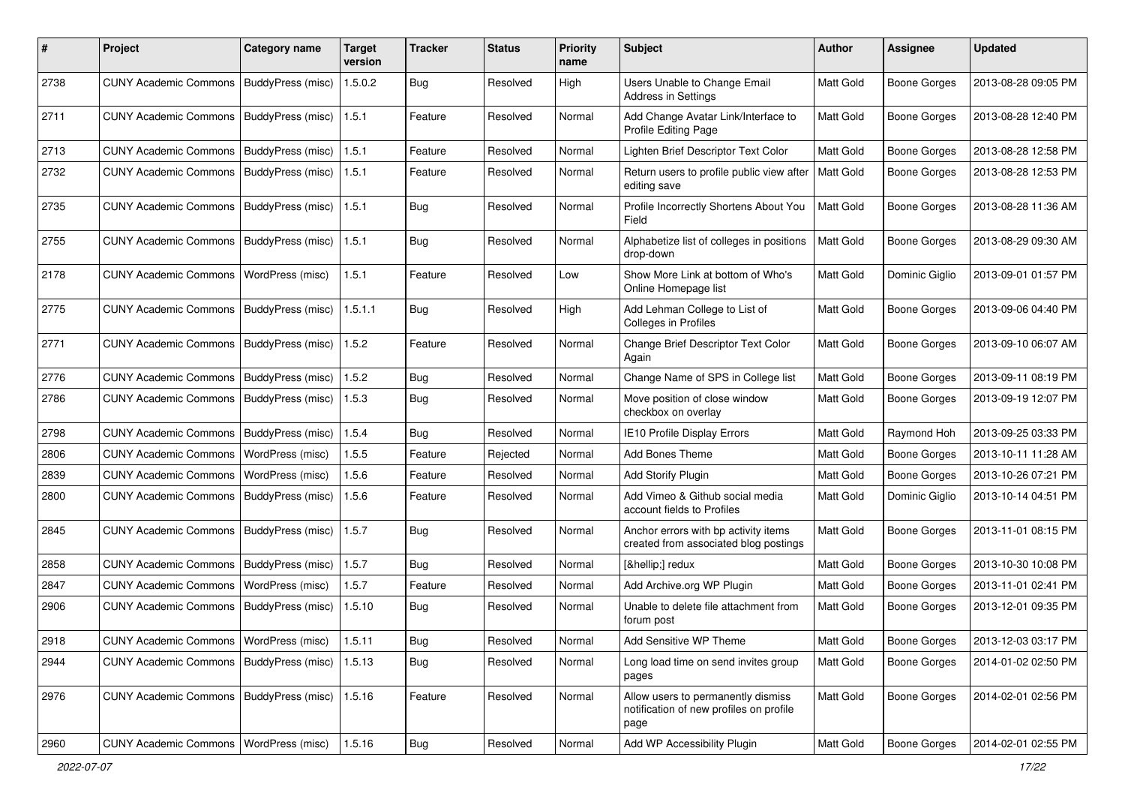| $\pmb{\#}$ | Project                                   | <b>Category name</b>     | <b>Target</b><br>version | <b>Tracker</b> | <b>Status</b> | <b>Priority</b><br>name | Subject                                                                               | Author           | <b>Assignee</b>     | <b>Updated</b>      |
|------------|-------------------------------------------|--------------------------|--------------------------|----------------|---------------|-------------------------|---------------------------------------------------------------------------------------|------------------|---------------------|---------------------|
| 2738       | <b>CUNY Academic Commons</b>              | BuddyPress (misc)        | 1.5.0.2                  | <b>Bug</b>     | Resolved      | High                    | Users Unable to Change Email<br>Address in Settings                                   | Matt Gold        | <b>Boone Gorges</b> | 2013-08-28 09:05 PM |
| 2711       | <b>CUNY Academic Commons</b>              | BuddyPress (misc)        | 1.5.1                    | Feature        | Resolved      | Normal                  | Add Change Avatar Link/Interface to<br>Profile Editing Page                           | Matt Gold        | Boone Gorges        | 2013-08-28 12:40 PM |
| 2713       | <b>CUNY Academic Commons</b>              | BuddyPress (misc)        | 1.5.1                    | Feature        | Resolved      | Normal                  | Lighten Brief Descriptor Text Color                                                   | Matt Gold        | Boone Gorges        | 2013-08-28 12:58 PM |
| 2732       | <b>CUNY Academic Commons</b>              | BuddyPress (misc)        | 1.5.1                    | Feature        | Resolved      | Normal                  | Return users to profile public view after<br>editing save                             | <b>Matt Gold</b> | <b>Boone Gorges</b> | 2013-08-28 12:53 PM |
| 2735       | <b>CUNY Academic Commons</b>              | <b>BuddyPress (misc)</b> | 1.5.1                    | Bug            | Resolved      | Normal                  | Profile Incorrectly Shortens About You<br>Field                                       | Matt Gold        | Boone Gorges        | 2013-08-28 11:36 AM |
| 2755       | <b>CUNY Academic Commons</b>              | BuddyPress (misc)        | 1.5.1                    | Bug            | Resolved      | Normal                  | Alphabetize list of colleges in positions<br>drop-down                                | Matt Gold        | Boone Gorges        | 2013-08-29 09:30 AM |
| 2178       | <b>CUNY Academic Commons</b>              | WordPress (misc)         | 1.5.1                    | Feature        | Resolved      | Low                     | Show More Link at bottom of Who's<br>Online Homepage list                             | <b>Matt Gold</b> | Dominic Giglio      | 2013-09-01 01:57 PM |
| 2775       | <b>CUNY Academic Commons</b>              | <b>BuddyPress (misc)</b> | 1.5.1.1                  | Bug            | Resolved      | High                    | Add Lehman College to List of<br>Colleges in Profiles                                 | Matt Gold        | Boone Gorges        | 2013-09-06 04:40 PM |
| 2771       | <b>CUNY Academic Commons</b>              | BuddyPress (misc)        | 1.5.2                    | Feature        | Resolved      | Normal                  | Change Brief Descriptor Text Color<br>Again                                           | Matt Gold        | Boone Gorges        | 2013-09-10 06:07 AM |
| 2776       | <b>CUNY Academic Commons</b>              | BuddyPress (misc)        | 1.5.2                    | Bug            | Resolved      | Normal                  | Change Name of SPS in College list                                                    | Matt Gold        | <b>Boone Gorges</b> | 2013-09-11 08:19 PM |
| 2786       | <b>CUNY Academic Commons</b>              | BuddyPress (misc)        | 1.5.3                    | <b>Bug</b>     | Resolved      | Normal                  | Move position of close window<br>checkbox on overlay                                  | Matt Gold        | Boone Gorges        | 2013-09-19 12:07 PM |
| 2798       | <b>CUNY Academic Commons</b>              | <b>BuddyPress (misc)</b> | 1.5.4                    | Bug            | Resolved      | Normal                  | IE10 Profile Display Errors                                                           | Matt Gold        | Raymond Hoh         | 2013-09-25 03:33 PM |
| 2806       | <b>CUNY Academic Commons</b>              | WordPress (misc)         | 1.5.5                    | Feature        | Rejected      | Normal                  | <b>Add Bones Theme</b>                                                                | Matt Gold        | Boone Gorges        | 2013-10-11 11:28 AM |
| 2839       | <b>CUNY Academic Commons</b>              | WordPress (misc)         | 1.5.6                    | Feature        | Resolved      | Normal                  | Add Storify Plugin                                                                    | Matt Gold        | Boone Gorges        | 2013-10-26 07:21 PM |
| 2800       | <b>CUNY Academic Commons</b>              | BuddyPress (misc)        | 1.5.6                    | Feature        | Resolved      | Normal                  | Add Vimeo & Github social media<br>account fields to Profiles                         | Matt Gold        | Dominic Giglio      | 2013-10-14 04:51 PM |
| 2845       | <b>CUNY Academic Commons</b>              | BuddyPress (misc)        | 1.5.7                    | Bug            | Resolved      | Normal                  | Anchor errors with bp activity items<br>created from associated blog postings         | Matt Gold        | Boone Gorges        | 2013-11-01 08:15 PM |
| 2858       | <b>CUNY Academic Commons</b>              | <b>BuddyPress (misc)</b> | 1.5.7                    | Bug            | Resolved      | Normal                  | […] redux                                                                             | Matt Gold        | Boone Gorges        | 2013-10-30 10:08 PM |
| 2847       | <b>CUNY Academic Commons</b>              | WordPress (misc)         | 1.5.7                    | Feature        | Resolved      | Normal                  | Add Archive.org WP Plugin                                                             | Matt Gold        | Boone Gorges        | 2013-11-01 02:41 PM |
| 2906       | <b>CUNY Academic Commons</b>              | BuddyPress (misc)        | 1.5.10                   | Bug            | Resolved      | Normal                  | Unable to delete file attachment from<br>forum post                                   | Matt Gold        | Boone Gorges        | 2013-12-01 09:35 PM |
| 2918       | CUNY Academic Commons   WordPress (misc)  |                          | 1.5.11                   | Bug            | Resolved      | Normal                  | Add Sensitive WP Theme                                                                | Matt Gold        | Boone Gorges        | 2013-12-03 03:17 PM |
| 2944       | CUNY Academic Commons   BuddyPress (misc) |                          | 1.5.13                   | Bug            | Resolved      | Normal                  | Long load time on send invites group<br>pages                                         | Matt Gold        | Boone Gorges        | 2014-01-02 02:50 PM |
| 2976       | <b>CUNY Academic Commons</b>              | BuddyPress (misc)        | 1.5.16                   | Feature        | Resolved      | Normal                  | Allow users to permanently dismiss<br>notification of new profiles on profile<br>page | Matt Gold        | Boone Gorges        | 2014-02-01 02:56 PM |
| 2960       | CUNY Academic Commons   WordPress (misc)  |                          | 1.5.16                   | <b>Bug</b>     | Resolved      | Normal                  | Add WP Accessibility Plugin                                                           | Matt Gold        | Boone Gorges        | 2014-02-01 02:55 PM |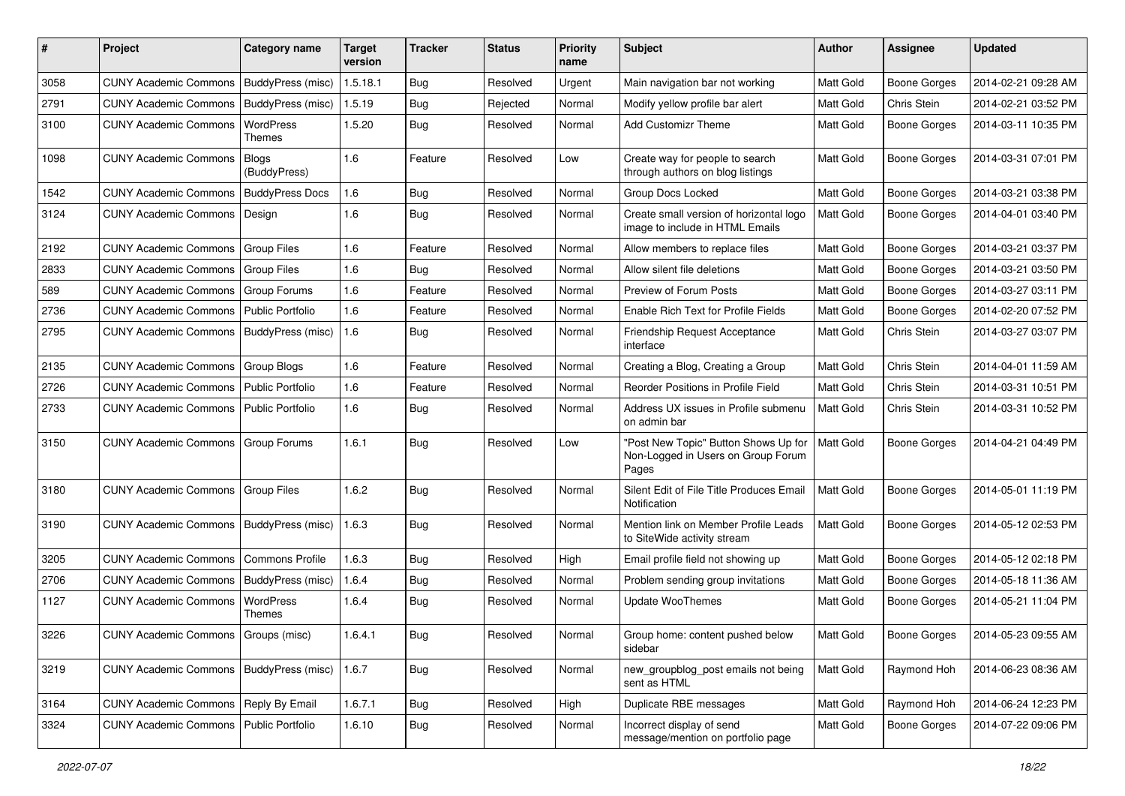| #    | Project                                   | <b>Category name</b>     | <b>Target</b><br>version | <b>Tracker</b> | <b>Status</b> | <b>Priority</b><br>name | <b>Subject</b>                                                                      | <b>Author</b>    | <b>Assignee</b>     | <b>Updated</b>      |
|------|-------------------------------------------|--------------------------|--------------------------|----------------|---------------|-------------------------|-------------------------------------------------------------------------------------|------------------|---------------------|---------------------|
| 3058 | <b>CUNY Academic Commons</b>              | <b>BuddyPress (misc)</b> | 1.5.18.1                 | Bug            | Resolved      | Urgent                  | Main navigation bar not working                                                     | Matt Gold        | <b>Boone Gorges</b> | 2014-02-21 09:28 AM |
| 2791 | <b>CUNY Academic Commons</b>              | BuddyPress (misc)        | 1.5.19                   | Bug            | Rejected      | Normal                  | Modify yellow profile bar alert                                                     | Matt Gold        | Chris Stein         | 2014-02-21 03:52 PM |
| 3100 | <b>CUNY Academic Commons</b>              | WordPress<br>Themes      | 1.5.20                   | Bug            | Resolved      | Normal                  | <b>Add Customizr Theme</b>                                                          | Matt Gold        | <b>Boone Gorges</b> | 2014-03-11 10:35 PM |
| 1098 | <b>CUNY Academic Commons</b>              | Blogs<br>(BuddyPress)    | 1.6                      | Feature        | Resolved      | Low                     | Create way for people to search<br>through authors on blog listings                 | Matt Gold        | <b>Boone Gorges</b> | 2014-03-31 07:01 PM |
| 1542 | <b>CUNY Academic Commons</b>              | <b>BuddyPress Docs</b>   | 1.6                      | Bug            | Resolved      | Normal                  | Group Docs Locked                                                                   | Matt Gold        | <b>Boone Gorges</b> | 2014-03-21 03:38 PM |
| 3124 | <b>CUNY Academic Commons</b>              | Design                   | 1.6                      | Bug            | Resolved      | Normal                  | Create small version of horizontal logo<br>image to include in HTML Emails          | Matt Gold        | <b>Boone Gorges</b> | 2014-04-01 03:40 PM |
| 2192 | <b>CUNY Academic Commons</b>              | <b>Group Files</b>       | 1.6                      | Feature        | Resolved      | Normal                  | Allow members to replace files                                                      | Matt Gold        | <b>Boone Gorges</b> | 2014-03-21 03:37 PM |
| 2833 | <b>CUNY Academic Commons</b>              | <b>Group Files</b>       | 1.6                      | Bug            | Resolved      | Normal                  | Allow silent file deletions                                                         | Matt Gold        | <b>Boone Gorges</b> | 2014-03-21 03:50 PM |
| 589  | <b>CUNY Academic Commons</b>              | Group Forums             | 1.6                      | Feature        | Resolved      | Normal                  | Preview of Forum Posts                                                              | Matt Gold        | <b>Boone Gorges</b> | 2014-03-27 03:11 PM |
| 2736 | <b>CUNY Academic Commons</b>              | <b>Public Portfolio</b>  | 1.6                      | Feature        | Resolved      | Normal                  | Enable Rich Text for Profile Fields                                                 | Matt Gold        | <b>Boone Gorges</b> | 2014-02-20 07:52 PM |
| 2795 | <b>CUNY Academic Commons</b>              | BuddyPress (misc)        | 1.6                      | Bug            | Resolved      | Normal                  | Friendship Request Acceptance<br>interface                                          | Matt Gold        | Chris Stein         | 2014-03-27 03:07 PM |
| 2135 | <b>CUNY Academic Commons</b>              | <b>Group Blogs</b>       | 1.6                      | Feature        | Resolved      | Normal                  | Creating a Blog, Creating a Group                                                   | Matt Gold        | Chris Stein         | 2014-04-01 11:59 AM |
| 2726 | <b>CUNY Academic Commons</b>              | <b>Public Portfolio</b>  | 1.6                      | Feature        | Resolved      | Normal                  | Reorder Positions in Profile Field                                                  | <b>Matt Gold</b> | Chris Stein         | 2014-03-31 10:51 PM |
| 2733 | <b>CUNY Academic Commons</b>              | <b>Public Portfolio</b>  | 1.6                      | Bug            | Resolved      | Normal                  | Address UX issues in Profile submenu<br>on admin bar                                | Matt Gold        | Chris Stein         | 2014-03-31 10:52 PM |
| 3150 | <b>CUNY Academic Commons</b>              | <b>Group Forums</b>      | 1.6.1                    | <b>Bug</b>     | Resolved      | Low                     | "Post New Topic" Button Shows Up for<br>Non-Logged in Users on Group Forum<br>Pages | Matt Gold        | <b>Boone Gorges</b> | 2014-04-21 04:49 PM |
| 3180 | <b>CUNY Academic Commons</b>              | Group Files              | 1.6.2                    | <b>Bug</b>     | Resolved      | Normal                  | Silent Edit of File Title Produces Email<br>Notification                            | Matt Gold        | <b>Boone Gorges</b> | 2014-05-01 11:19 PM |
| 3190 | <b>CUNY Academic Commons</b>              | BuddyPress (misc)        | 1.6.3                    | Bug            | Resolved      | Normal                  | Mention link on Member Profile Leads<br>to SiteWide activity stream                 | Matt Gold        | <b>Boone Gorges</b> | 2014-05-12 02:53 PM |
| 3205 | <b>CUNY Academic Commons</b>              | <b>Commons Profile</b>   | 1.6.3                    | <b>Bug</b>     | Resolved      | High                    | Email profile field not showing up                                                  | Matt Gold        | <b>Boone Gorges</b> | 2014-05-12 02:18 PM |
| 2706 | <b>CUNY Academic Commons</b>              | BuddyPress (misc)        | 1.6.4                    | Bug            | Resolved      | Normal                  | Problem sending group invitations                                                   | Matt Gold        | <b>Boone Gorges</b> | 2014-05-18 11:36 AM |
| 1127 | <b>CUNY Academic Commons</b>              | WordPress<br>Themes      | 1.6.4                    | <b>Bug</b>     | Resolved      | Normal                  | <b>Update WooThemes</b>                                                             | Matt Gold        | <b>Boone Gorges</b> | 2014-05-21 11:04 PM |
| 3226 | CUNY Academic Commons   Groups (misc)     |                          | 1.6.4.1                  | Bug            | Resolved      | Normal                  | Group home: content pushed below<br>sidebar                                         | Matt Gold        | Boone Gorges        | 2014-05-23 09:55 AM |
| 3219 | CUNY Academic Commons   BuddyPress (misc) |                          | 1.6.7                    | Bug            | Resolved      | Normal                  | new_groupblog_post emails not being<br>sent as HTML                                 | Matt Gold        | Raymond Hoh         | 2014-06-23 08:36 AM |
| 3164 | CUNY Academic Commons   Reply By Email    |                          | 1.6.7.1                  | Bug            | Resolved      | High                    | Duplicate RBE messages                                                              | Matt Gold        | Raymond Hoh         | 2014-06-24 12:23 PM |
| 3324 | CUNY Academic Commons   Public Portfolio  |                          | 1.6.10                   | Bug            | Resolved      | Normal                  | Incorrect display of send<br>message/mention on portfolio page                      | Matt Gold        | Boone Gorges        | 2014-07-22 09:06 PM |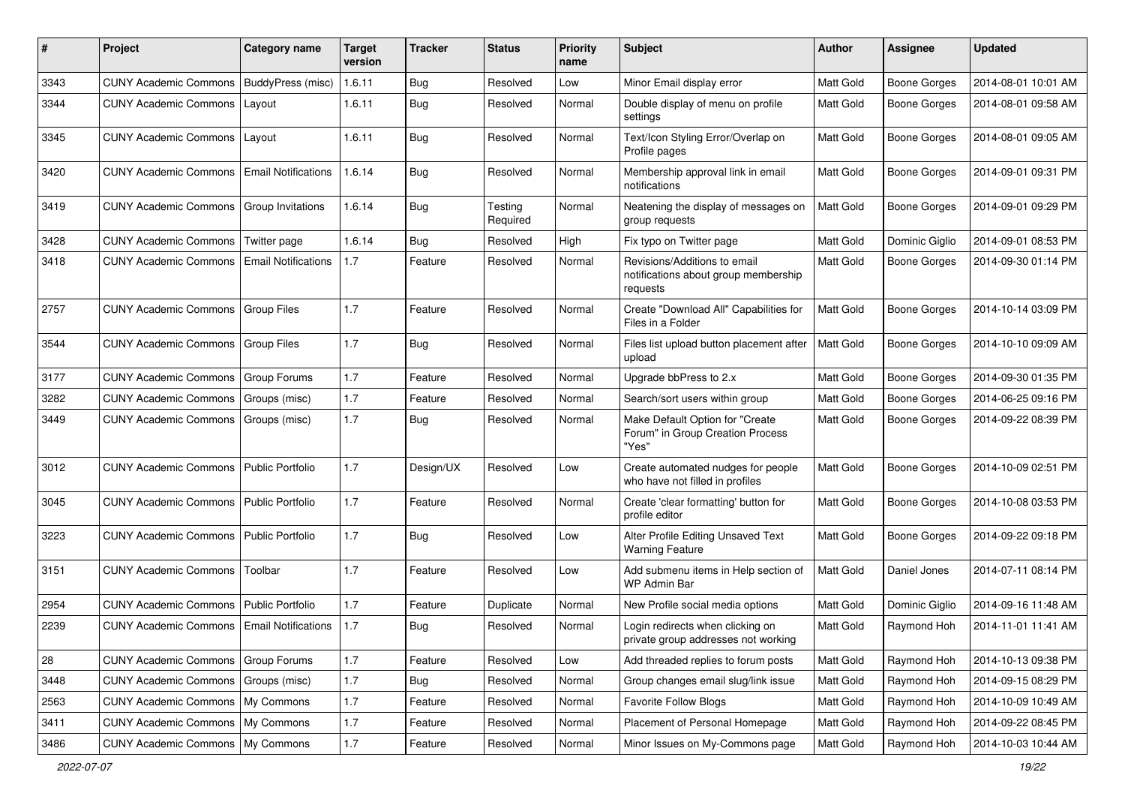| #    | Project                                            | <b>Category name</b>       | <b>Target</b><br>version | <b>Tracker</b> | <b>Status</b>       | <b>Priority</b><br>name | <b>Subject</b>                                                                   | <b>Author</b>    | <b>Assignee</b>     | <b>Updated</b>      |
|------|----------------------------------------------------|----------------------------|--------------------------|----------------|---------------------|-------------------------|----------------------------------------------------------------------------------|------------------|---------------------|---------------------|
| 3343 | <b>CUNY Academic Commons</b>                       | BuddyPress (misc)          | 1.6.11                   | <b>Bug</b>     | Resolved            | Low                     | Minor Email display error                                                        | Matt Gold        | <b>Boone Gorges</b> | 2014-08-01 10:01 AM |
| 3344 | <b>CUNY Academic Commons</b>                       | Layout                     | 1.6.11                   | <b>Bug</b>     | Resolved            | Normal                  | Double display of menu on profile<br>settings                                    | Matt Gold        | <b>Boone Gorges</b> | 2014-08-01 09:58 AM |
| 3345 | <b>CUNY Academic Commons</b>                       | Layout                     | 1.6.11                   | Bug            | Resolved            | Normal                  | Text/Icon Styling Error/Overlap on<br>Profile pages                              | <b>Matt Gold</b> | <b>Boone Gorges</b> | 2014-08-01 09:05 AM |
| 3420 | <b>CUNY Academic Commons</b>                       | <b>Email Notifications</b> | 1.6.14                   | <b>Bug</b>     | Resolved            | Normal                  | Membership approval link in email<br>notifications                               | Matt Gold        | <b>Boone Gorges</b> | 2014-09-01 09:31 PM |
| 3419 | <b>CUNY Academic Commons</b>                       | Group Invitations          | 1.6.14                   | <b>Bug</b>     | Testing<br>Required | Normal                  | Neatening the display of messages on<br>group requests                           | Matt Gold        | <b>Boone Gorges</b> | 2014-09-01 09:29 PM |
| 3428 | <b>CUNY Academic Commons</b>                       | Twitter page               | 1.6.14                   | Bug            | Resolved            | High                    | Fix typo on Twitter page                                                         | Matt Gold        | Dominic Giglio      | 2014-09-01 08:53 PM |
| 3418 | <b>CUNY Academic Commons</b>                       | <b>Email Notifications</b> | 1.7                      | Feature        | Resolved            | Normal                  | Revisions/Additions to email<br>notifications about group membership<br>requests | Matt Gold        | Boone Gorges        | 2014-09-30 01:14 PM |
| 2757 | <b>CUNY Academic Commons</b>                       | <b>Group Files</b>         | 1.7                      | Feature        | Resolved            | Normal                  | Create "Download All" Capabilities for<br>Files in a Folder                      | Matt Gold        | <b>Boone Gorges</b> | 2014-10-14 03:09 PM |
| 3544 | <b>CUNY Academic Commons</b>                       | <b>Group Files</b>         | 1.7                      | Bug            | Resolved            | Normal                  | Files list upload button placement after<br>upload                               | Matt Gold        | Boone Gorges        | 2014-10-10 09:09 AM |
| 3177 | <b>CUNY Academic Commons</b>                       | <b>Group Forums</b>        | 1.7                      | Feature        | Resolved            | Normal                  | Upgrade bbPress to 2.x                                                           | Matt Gold        | <b>Boone Gorges</b> | 2014-09-30 01:35 PM |
| 3282 | <b>CUNY Academic Commons</b>                       | Groups (misc)              | 1.7                      | Feature        | Resolved            | Normal                  | Search/sort users within group                                                   | Matt Gold        | Boone Gorges        | 2014-06-25 09:16 PM |
| 3449 | <b>CUNY Academic Commons</b>                       | Groups (misc)              | 1.7                      | Bug            | Resolved            | Normal                  | Make Default Option for "Create<br>Forum" in Group Creation Process<br>"Yes"     | Matt Gold        | <b>Boone Gorges</b> | 2014-09-22 08:39 PM |
| 3012 | <b>CUNY Academic Commons</b>                       | <b>Public Portfolio</b>    | 1.7                      | Design/UX      | Resolved            | Low                     | Create automated nudges for people<br>who have not filled in profiles            | <b>Matt Gold</b> | <b>Boone Gorges</b> | 2014-10-09 02:51 PM |
| 3045 | <b>CUNY Academic Commons</b>                       | Public Portfolio           | 1.7                      | Feature        | Resolved            | Normal                  | Create 'clear formatting' button for<br>profile editor                           | Matt Gold        | Boone Gorges        | 2014-10-08 03:53 PM |
| 3223 | <b>CUNY Academic Commons</b>                       | <b>Public Portfolio</b>    | 1.7                      | Bug            | Resolved            | Low                     | Alter Profile Editing Unsaved Text<br><b>Warning Feature</b>                     | Matt Gold        | Boone Gorges        | 2014-09-22 09:18 PM |
| 3151 | <b>CUNY Academic Commons</b>                       | Toolbar                    | 1.7                      | Feature        | Resolved            | Low                     | Add submenu items in Help section of<br>WP Admin Bar                             | Matt Gold        | Daniel Jones        | 2014-07-11 08:14 PM |
| 2954 | <b>CUNY Academic Commons</b>                       | Public Portfolio           | 1.7                      | Feature        | Duplicate           | Normal                  | New Profile social media options                                                 | Matt Gold        | Dominic Giglio      | 2014-09-16 11:48 AM |
| 2239 | <b>CUNY Academic Commons   Email Notifications</b> |                            | 1.7                      | <b>Bug</b>     | Resolved            | Normal                  | Login redirects when clicking on<br>private group addresses not working          | Matt Gold        | Raymond Hoh         | 2014-11-01 11:41 AM |
| 28   | <b>CUNY Academic Commons</b>                       | <b>Group Forums</b>        | 1.7                      | Feature        | Resolved            | Low                     | Add threaded replies to forum posts                                              | Matt Gold        | Raymond Hoh         | 2014-10-13 09:38 PM |
| 3448 | <b>CUNY Academic Commons</b>                       | Groups (misc)              | $1.7$                    | Bug            | Resolved            | Normal                  | Group changes email slug/link issue                                              | Matt Gold        | Raymond Hoh         | 2014-09-15 08:29 PM |
| 2563 | CUNY Academic Commons   My Commons                 |                            | $1.7$                    | Feature        | Resolved            | Normal                  | <b>Favorite Follow Blogs</b>                                                     | Matt Gold        | Raymond Hoh         | 2014-10-09 10:49 AM |
| 3411 | CUNY Academic Commons   My Commons                 |                            | $1.7$                    | Feature        | Resolved            | Normal                  | Placement of Personal Homepage                                                   | Matt Gold        | Raymond Hoh         | 2014-09-22 08:45 PM |
| 3486 | <b>CUNY Academic Commons</b>                       | My Commons                 | $1.7\,$                  | Feature        | Resolved            | Normal                  | Minor Issues on My-Commons page                                                  | Matt Gold        | Raymond Hoh         | 2014-10-03 10:44 AM |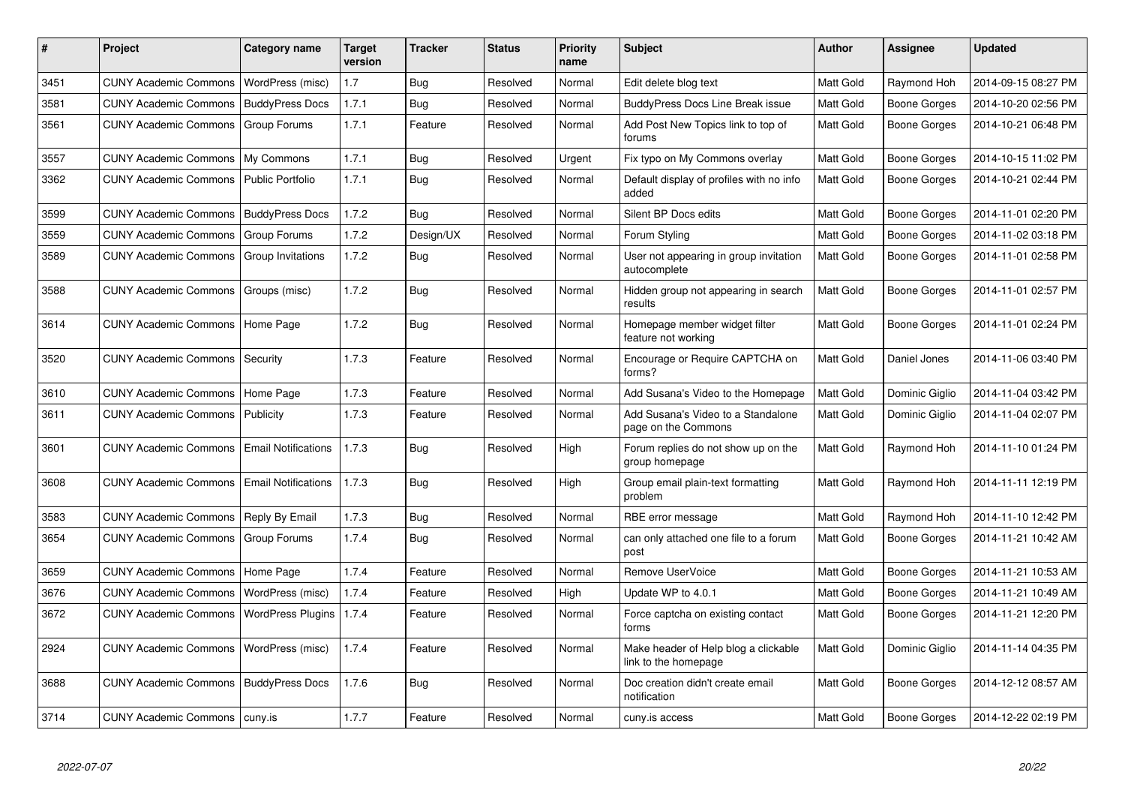| $\#$ | Project                           | Category name              | <b>Target</b><br>version | <b>Tracker</b> | <b>Status</b> | <b>Priority</b><br>name | <b>Subject</b>                                               | <b>Author</b>    | Assignee       | <b>Updated</b>      |
|------|-----------------------------------|----------------------------|--------------------------|----------------|---------------|-------------------------|--------------------------------------------------------------|------------------|----------------|---------------------|
| 3451 | <b>CUNY Academic Commons</b>      | WordPress (misc)           | 1.7                      | Bug            | Resolved      | Normal                  | Edit delete blog text                                        | Matt Gold        | Raymond Hoh    | 2014-09-15 08:27 PM |
| 3581 | <b>CUNY Academic Commons</b>      | <b>BuddyPress Docs</b>     | 1.7.1                    | Bug            | Resolved      | Normal                  | <b>BuddyPress Docs Line Break issue</b>                      | Matt Gold        | Boone Gorges   | 2014-10-20 02:56 PM |
| 3561 | <b>CUNY Academic Commons</b>      | Group Forums               | 1.7.1                    | Feature        | Resolved      | Normal                  | Add Post New Topics link to top of<br>forums                 | Matt Gold        | Boone Gorges   | 2014-10-21 06:48 PM |
| 3557 | <b>CUNY Academic Commons</b>      | My Commons                 | 1.7.1                    | <b>Bug</b>     | Resolved      | Urgent                  | Fix typo on My Commons overlay                               | Matt Gold        | Boone Gorges   | 2014-10-15 11:02 PM |
| 3362 | <b>CUNY Academic Commons</b>      | <b>Public Portfolio</b>    | 1.7.1                    | Bug            | Resolved      | Normal                  | Default display of profiles with no info<br>added            | Matt Gold        | Boone Gorges   | 2014-10-21 02:44 PM |
| 3599 | <b>CUNY Academic Commons</b>      | <b>BuddyPress Docs</b>     | 1.7.2                    | Bug            | Resolved      | Normal                  | Silent BP Docs edits                                         | Matt Gold        | Boone Gorges   | 2014-11-01 02:20 PM |
| 3559 | <b>CUNY Academic Commons</b>      | Group Forums               | 1.7.2                    | Design/UX      | Resolved      | Normal                  | Forum Styling                                                | Matt Gold        | Boone Gorges   | 2014-11-02 03:18 PM |
| 3589 | <b>CUNY Academic Commons</b>      | Group Invitations          | 1.7.2                    | Bug            | Resolved      | Normal                  | User not appearing in group invitation<br>autocomplete       | Matt Gold        | Boone Gorges   | 2014-11-01 02:58 PM |
| 3588 | <b>CUNY Academic Commons</b>      | Groups (misc)              | 1.7.2                    | Bug            | Resolved      | Normal                  | Hidden group not appearing in search<br>results              | Matt Gold        | Boone Gorges   | 2014-11-01 02:57 PM |
| 3614 | CUNY Academic Commons   Home Page |                            | 1.7.2                    | Bug            | Resolved      | Normal                  | Homepage member widget filter<br>feature not working         | Matt Gold        | Boone Gorges   | 2014-11-01 02:24 PM |
| 3520 | <b>CUNY Academic Commons</b>      | Security                   | 1.7.3                    | Feature        | Resolved      | Normal                  | Encourage or Require CAPTCHA on<br>forms?                    | <b>Matt Gold</b> | Daniel Jones   | 2014-11-06 03:40 PM |
| 3610 | <b>CUNY Academic Commons</b>      | Home Page                  | 1.7.3                    | Feature        | Resolved      | Normal                  | Add Susana's Video to the Homepage                           | Matt Gold        | Dominic Giglio | 2014-11-04 03:42 PM |
| 3611 | <b>CUNY Academic Commons</b>      | Publicity                  | 1.7.3                    | Feature        | Resolved      | Normal                  | Add Susana's Video to a Standalone<br>page on the Commons    | Matt Gold        | Dominic Giglio | 2014-11-04 02:07 PM |
| 3601 | <b>CUNY Academic Commons</b>      | <b>Email Notifications</b> | 1.7.3                    | <b>Bug</b>     | Resolved      | High                    | Forum replies do not show up on the<br>group homepage        | Matt Gold        | Raymond Hoh    | 2014-11-10 01:24 PM |
| 3608 | <b>CUNY Academic Commons</b>      | <b>Email Notifications</b> | 1.7.3                    | <b>Bug</b>     | Resolved      | High                    | Group email plain-text formatting<br>problem                 | <b>Matt Gold</b> | Raymond Hoh    | 2014-11-11 12:19 PM |
| 3583 | <b>CUNY Academic Commons</b>      | Reply By Email             | 1.7.3                    | Bug            | Resolved      | Normal                  | RBE error message                                            | <b>Matt Gold</b> | Raymond Hoh    | 2014-11-10 12:42 PM |
| 3654 | <b>CUNY Academic Commons</b>      | Group Forums               | 1.7.4                    | <b>Bug</b>     | Resolved      | Normal                  | can only attached one file to a forum<br>post                | Matt Gold        | Boone Gorges   | 2014-11-21 10:42 AM |
| 3659 | <b>CUNY Academic Commons</b>      | Home Page                  | 1.7.4                    | Feature        | Resolved      | Normal                  | Remove UserVoice                                             | Matt Gold        | Boone Gorges   | 2014-11-21 10:53 AM |
| 3676 | <b>CUNY Academic Commons</b>      | WordPress (misc)           | 1.7.4                    | Feature        | Resolved      | High                    | Update WP to 4.0.1                                           | Matt Gold        | Boone Gorges   | 2014-11-21 10:49 AM |
| 3672 | <b>CUNY Academic Commons</b>      | <b>WordPress Plugins</b>   | 1.7.4                    | Feature        | Resolved      | Normal                  | Force captcha on existing contact<br>forms                   | Matt Gold        | Boone Gorges   | 2014-11-21 12:20 PM |
| 2924 | <b>CUNY Academic Commons</b>      | WordPress (misc)           | 1.7.4                    | Feature        | Resolved      | Normal                  | Make header of Help blog a clickable<br>link to the homepage | Matt Gold        | Dominic Giglio | 2014-11-14 04:35 PM |
| 3688 | <b>CUNY Academic Commons</b>      | <b>BuddyPress Docs</b>     | 1.7.6                    | <b>Bug</b>     | Resolved      | Normal                  | Doc creation didn't create email<br>notification             | <b>Matt Gold</b> | Boone Gorges   | 2014-12-12 08:57 AM |
| 3714 | CUNY Academic Commons   cuny.is   |                            | 1.7.7                    | Feature        | Resolved      | Normal                  | cuny.is access                                               | <b>Matt Gold</b> | Boone Gorges   | 2014-12-22 02:19 PM |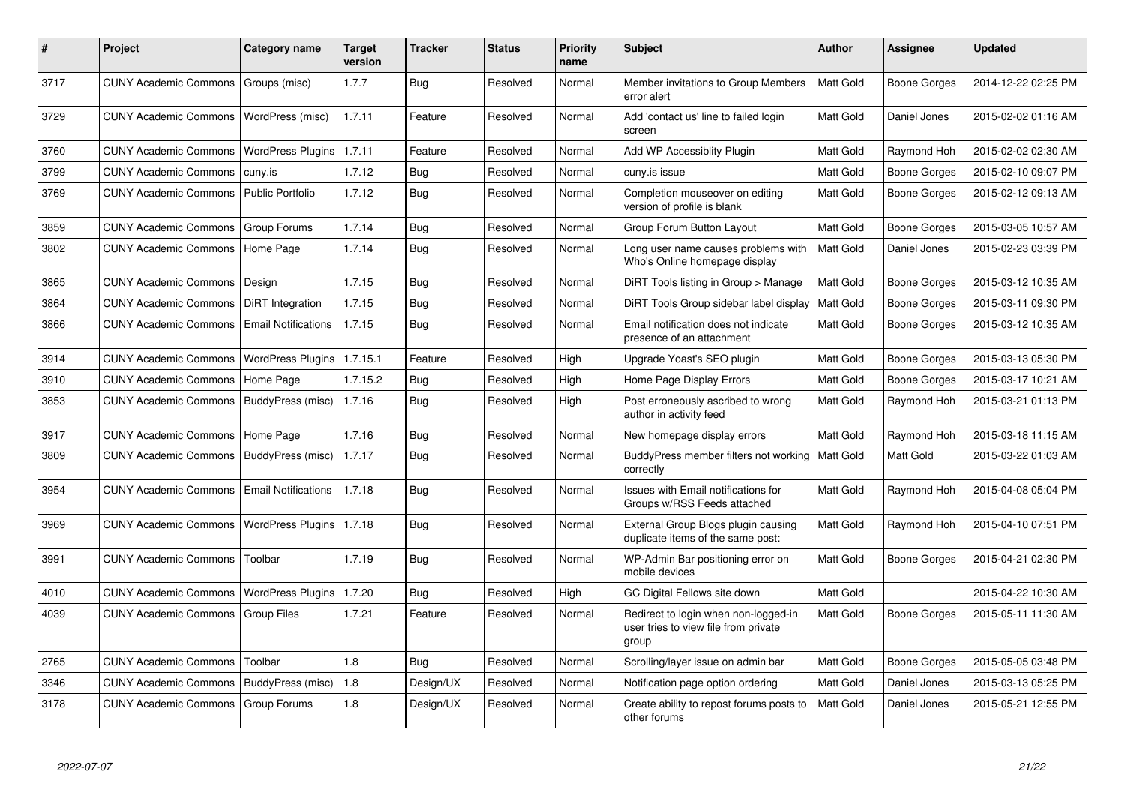| #    | Project                               | Category name              | <b>Target</b><br>version | Tracker    | <b>Status</b> | <b>Priority</b><br>name | <b>Subject</b>                                                                        | <b>Author</b>    | <b>Assignee</b>     | <b>Updated</b>      |
|------|---------------------------------------|----------------------------|--------------------------|------------|---------------|-------------------------|---------------------------------------------------------------------------------------|------------------|---------------------|---------------------|
| 3717 | CUNY Academic Commons   Groups (misc) |                            | 1.7.7                    | Bug        | Resolved      | Normal                  | Member invitations to Group Members<br>error alert                                    | Matt Gold        | <b>Boone Gorges</b> | 2014-12-22 02:25 PM |
| 3729 | <b>CUNY Academic Commons</b>          | WordPress (misc)           | 1.7.11                   | Feature    | Resolved      | Normal                  | Add 'contact us' line to failed login<br>screen                                       | Matt Gold        | Daniel Jones        | 2015-02-02 01:16 AM |
| 3760 | <b>CUNY Academic Commons</b>          | <b>WordPress Plugins</b>   | 1.7.11                   | Feature    | Resolved      | Normal                  | Add WP Accessiblity Plugin                                                            | Matt Gold        | Raymond Hoh         | 2015-02-02 02:30 AM |
| 3799 | <b>CUNY Academic Commons</b>          | l cuny.is                  | 1.7.12                   | <b>Bug</b> | Resolved      | Normal                  | cuny.is issue                                                                         | Matt Gold        | <b>Boone Gorges</b> | 2015-02-10 09:07 PM |
| 3769 | <b>CUNY Academic Commons</b>          | Public Portfolio           | 1.7.12                   | Bug        | Resolved      | Normal                  | Completion mouseover on editing<br>version of profile is blank                        | Matt Gold        | <b>Boone Gorges</b> | 2015-02-12 09:13 AM |
| 3859 | <b>CUNY Academic Commons</b>          | <b>Group Forums</b>        | 1.7.14                   | Bug        | Resolved      | Normal                  | Group Forum Button Layout                                                             | Matt Gold        | <b>Boone Gorges</b> | 2015-03-05 10:57 AM |
| 3802 | <b>CUNY Academic Commons</b>          | Home Page                  | 1.7.14                   | Bug        | Resolved      | Normal                  | Long user name causes problems with<br>Who's Online homepage display                  | <b>Matt Gold</b> | Daniel Jones        | 2015-02-23 03:39 PM |
| 3865 | <b>CUNY Academic Commons</b>          | Design                     | 1.7.15                   | <b>Bug</b> | Resolved      | Normal                  | DiRT Tools listing in Group > Manage                                                  | Matt Gold        | <b>Boone Gorges</b> | 2015-03-12 10:35 AM |
| 3864 | <b>CUNY Academic Commons</b>          | DiRT Integration           | 1.7.15                   | Bug        | Resolved      | Normal                  | DiRT Tools Group sidebar label display                                                | Matt Gold        | <b>Boone Gorges</b> | 2015-03-11 09:30 PM |
| 3866 | <b>CUNY Academic Commons</b>          | <b>Email Notifications</b> | 1.7.15                   | Bug        | Resolved      | Normal                  | Email notification does not indicate<br>presence of an attachment                     | Matt Gold        | <b>Boone Gorges</b> | 2015-03-12 10:35 AM |
| 3914 | <b>CUNY Academic Commons</b>          | <b>WordPress Plugins</b>   | 1.7.15.1                 | Feature    | Resolved      | High                    | Upgrade Yoast's SEO plugin                                                            | Matt Gold        | <b>Boone Gorges</b> | 2015-03-13 05:30 PM |
| 3910 | <b>CUNY Academic Commons</b>          | Home Page                  | 1.7.15.2                 | Bug        | Resolved      | High                    | Home Page Display Errors                                                              | Matt Gold        | <b>Boone Gorges</b> | 2015-03-17 10:21 AM |
| 3853 | <b>CUNY Academic Commons</b>          | BuddyPress (misc)          | 1.7.16                   | Bug        | Resolved      | High                    | Post erroneously ascribed to wrong<br>author in activity feed                         | Matt Gold        | Raymond Hoh         | 2015-03-21 01:13 PM |
| 3917 | <b>CUNY Academic Commons</b>          | Home Page                  | 1.7.16                   | Bug        | Resolved      | Normal                  | New homepage display errors                                                           | Matt Gold        | Raymond Hoh         | 2015-03-18 11:15 AM |
| 3809 | <b>CUNY Academic Commons</b>          | BuddyPress (misc)          | 1.7.17                   | Bug        | Resolved      | Normal                  | BuddyPress member filters not working<br>correctly                                    | Matt Gold        | Matt Gold           | 2015-03-22 01:03 AM |
| 3954 | <b>CUNY Academic Commons</b>          | <b>Email Notifications</b> | 1.7.18                   | <b>Bug</b> | Resolved      | Normal                  | Issues with Email notifications for<br>Groups w/RSS Feeds attached                    | Matt Gold        | Raymond Hoh         | 2015-04-08 05:04 PM |
| 3969 | <b>CUNY Academic Commons</b>          | <b>WordPress Plugins</b>   | 1.7.18                   | Bug        | Resolved      | Normal                  | External Group Blogs plugin causing<br>duplicate items of the same post:              | Matt Gold        | Raymond Hoh         | 2015-04-10 07:51 PM |
| 3991 | <b>CUNY Academic Commons</b>          | Toolbar                    | 1.7.19                   | <b>Bug</b> | Resolved      | Normal                  | WP-Admin Bar positioning error on<br>mobile devices                                   | Matt Gold        | Boone Gorges        | 2015-04-21 02:30 PM |
| 4010 | <b>CUNY Academic Commons</b>          | <b>WordPress Plugins</b>   | 1.7.20                   | <b>Bug</b> | Resolved      | High                    | GC Digital Fellows site down                                                          | Matt Gold        |                     | 2015-04-22 10:30 AM |
| 4039 | <b>CUNY Academic Commons</b>          | <b>Group Files</b>         | 1.7.21                   | Feature    | Resolved      | Normal                  | Redirect to login when non-logged-in<br>user tries to view file from private<br>group | Matt Gold        | Boone Gorges        | 2015-05-11 11:30 AM |
| 2765 | <b>CUNY Academic Commons</b>          | Toolbar                    | 1.8                      | <b>Bug</b> | Resolved      | Normal                  | Scrolling/layer issue on admin bar                                                    | Matt Gold        | <b>Boone Gorges</b> | 2015-05-05 03:48 PM |
| 3346 | <b>CUNY Academic Commons</b>          | BuddyPress (misc)          | 1.8                      | Design/UX  | Resolved      | Normal                  | Notification page option ordering                                                     | Matt Gold        | Daniel Jones        | 2015-03-13 05:25 PM |
| 3178 | <b>CUNY Academic Commons</b>          | Group Forums               | 1.8                      | Design/UX  | Resolved      | Normal                  | Create ability to repost forums posts to<br>other forums                              | Matt Gold        | Daniel Jones        | 2015-05-21 12:55 PM |